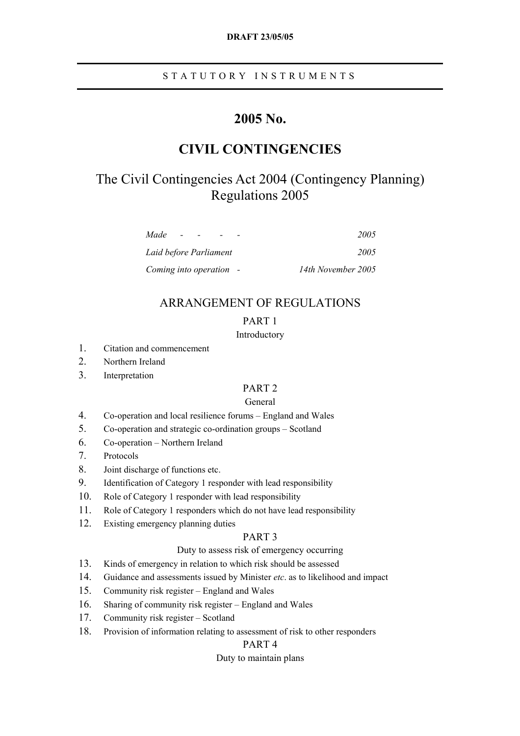# STATUTORY INSTRUMENTS

# **2005 No.**

# **CIVIL CONTINGENCIES**

# The Civil Contingencies Act 2004 (Contingency Planning) Regulations 2005

| Made<br>-               | 2005               |
|-------------------------|--------------------|
| Laid before Parliament  | 2005               |
| Coming into operation - | 14th November 2005 |

# ARRANGEMENT OF REGULATIONS

# PART 1

## Introductory

- 1. Citation and commencement
- 2. Northern Ireland
- 3. Interpretation

# PART 2

## General

- 4. Co-operation and local resilience forums England and Wales
- 5. Co-operation and strategic co-ordination groups Scotland
- 6. Co-operation Northern Ireland
- 7. Protocols
- 8. Joint discharge of functions etc.
- 9. Identification of Category 1 responder with lead responsibility
- 10. Role of Category 1 responder with lead responsibility
- 11. Role of Category 1 responders which do not have lead responsibility
- 12. Existing emergency planning duties

# PART 3

## Duty to assess risk of emergency occurring

- 13. Kinds of emergency in relation to which risk should be assessed
- 14. Guidance and assessments issued by Minister *etc*. as to likelihood and impact
- 15. Community risk register England and Wales
- 16. Sharing of community risk register England and Wales
- 17. Community risk register Scotland
- 18. Provision of information relating to assessment of risk to other responders

# PART 4

## Duty to maintain plans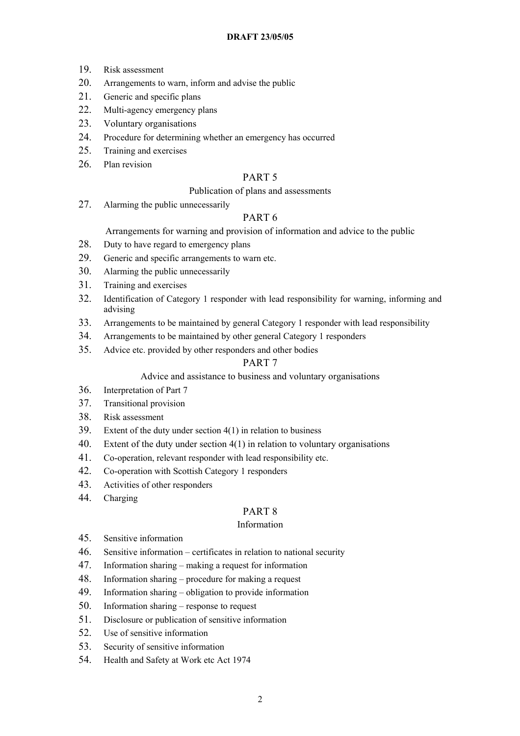- 19. Risk assessment
- 20. Arrangements to warn, inform and advise the public
- 21. Generic and specific plans
- 22. Multi-agency emergency plans
- 23. Voluntary organisations
- 24. Procedure for determining whether an emergency has occurred
- 25. Training and exercises
- 26 Plan revision

# PART 5

## Publication of plans and assessments

27. Alarming the public unnecessarily

# PART 6

Arrangements for warning and provision of information and advice to the public

- 28. Duty to have regard to emergency plans
- 29. Generic and specific arrangements to warn etc.
- 30. Alarming the public unnecessarily
- 31. Training and exercises
- 32. Identification of Category 1 responder with lead responsibility for warning, informing and advising
- 33. Arrangements to be maintained by general Category 1 responder with lead responsibility
- 34. Arrangements to be maintained by other general Category 1 responders
- 35. Advice etc. provided by other responders and other bodies

## PART 7

Advice and assistance to business and voluntary organisations

- 36. Interpretation of Part 7
- 37. Transitional provision
- 38. Risk assessment
- 39. Extent of the duty under section 4(1) in relation to business
- 40. Extent of the duty under section 4(1) in relation to voluntary organisations
- 41. Co-operation, relevant responder with lead responsibility etc.
- 42. Co-operation with Scottish Category 1 responders
- 43. Activities of other responders
- 44. Charging

# PART 8

## Information

- 45. Sensitive information
- 46. Sensitive information certificates in relation to national security
- 47. Information sharing making a request for information
- 48. Information sharing procedure for making a request
- 49. Information sharing obligation to provide information
- 50. Information sharing response to request
- 51. Disclosure or publication of sensitive information
- 52. Use of sensitive information
- 53. Security of sensitive information
- 54. Health and Safety at Work etc Act 1974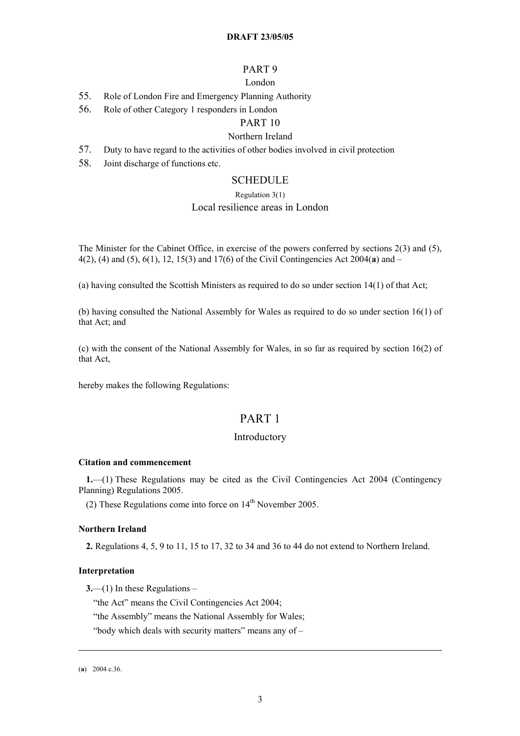## PART 9

## London

- 55. Role of London Fire and Emergency Planning Authority
- 56. Role of other Category 1 responders in London

# PART 10

# Northern Ireland

- 57. Duty to have regard to the activities of other bodies involved in civil protection
- 58. Joint discharge of functions etc.

## **SCHEDULE**

#### Regulation 3(1)

## Local resilience areas in London

The Minister for the Cabinet Office, in exercise of the powers conferred by sections 2(3) and (5), 4(2), (4) and (5), 6(1), 12, 15(3) and 17(6) of the Civil Contingencies Act 2004(**[a](#page-2-0)**) and –

(a) having consulted the Scottish Ministers as required to do so under section 14(1) of that Act;

(b) having consulted the National Assembly for Wales as required to do so under section 16(1) of that Act; and

(c) with the consent of the National Assembly for Wales, in so far as required by section 16(2) of that Act,

hereby makes the following Regulations:

# PART 1

## Introductory

#### **Citation and commencement**

**1.**—(1) These Regulations may be cited as the Civil Contingencies Act 2004 (Contingency Planning) Regulations 2005.

(2) These Regulations come into force on  $14<sup>th</sup>$  November 2005.

#### **Northern Ireland**

**2.** Regulations 4, 5, 9 to 11, 15 to 17, 32 to 34 and 36 to 44 do not extend to Northern Ireland.

## **Interpretation**

**3.**—(1) In these Regulations –

"the Act" means the Civil Contingencies Act 2004;

"the Assembly" means the National Assembly for Wales;

"body which deals with security matters" means any of –

<u>.</u>

<span id="page-2-0"></span><sup>(</sup>**a**) 2004 c.36.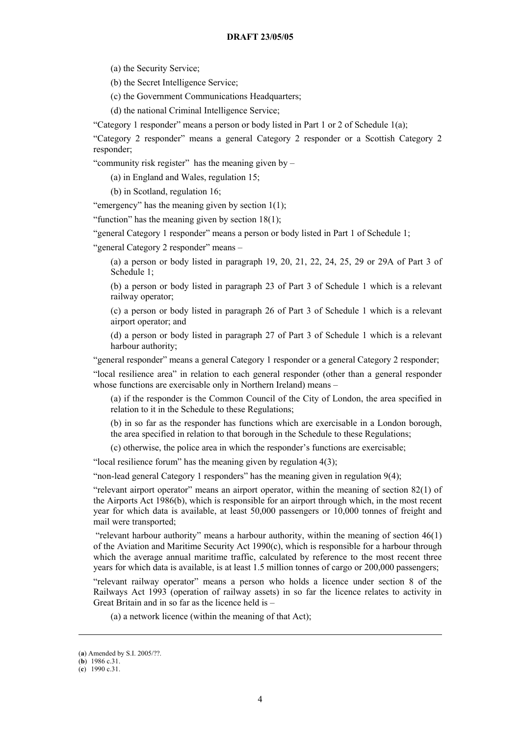(a) the Security Service;

(b) the Secret Intelligence Service;

(c) the Government Communications Headquarters;

(d) the national Criminal Intelligence Service;

"Category 1 responder" means a person or body listed in Part 1 or 2 of Schedule 1([a\)](#page-3-0);

"Category 2 responder" means a general Category 2 responder or a Scottish Category 2 responder;

"community risk register" has the meaning given by –

(a) in England and Wales, regulation 15;

(b) in Scotland, regulation 16;

"emergency" has the meaning given by section  $1(1)$ ;

"function" has the meaning given by section  $18(1)$ ;

"general Category 1 responder" means a person or body listed in Part 1 of Schedule 1;

"general Category 2 responder" means –

(a) a person or body listed in paragraph 19, 20, 21, 22, 24, 25, 29 or 29A of Part 3 of Schedule 1;

(b) a person or body listed in paragraph 23 of Part 3 of Schedule 1 which is a relevant railway operator;

(c) a person or body listed in paragraph 26 of Part 3 of Schedule 1 which is a relevant airport operator; and

(d) a person or body listed in paragraph 27 of Part 3 of Schedule 1 which is a relevant harbour authority;

"general responder" means a general Category 1 responder or a general Category 2 responder;

"local resilience area" in relation to each general responder (other than a general responder whose functions are exercisable only in Northern Ireland) means –

(a) if the responder is the Common Council of the City of London, the area specified in relation to it in the Schedule to these Regulations;

(b) in so far as the responder has functions which are exercisable in a London borough, the area specified in relation to that borough in the Schedule to these Regulations;

(c) otherwise, the police area in which the responder's functions are exercisable;

"local resilience forum" has the meaning given by regulation 4(3);

"non-lead general Category 1 responders" has the meaning given in regulation 9(4);

"relevant airport operator" means an airport operator, within the meaning of section 82(1) of the Airports Act 1986([b\)](#page-3-1), which is responsible for an airport through which, in the most recent year for which data is available, at least 50,000 passengers or 10,000 tonnes of freight and mail were transported;

"relevant harbour authority" means a harbour authority, within the meaning of section 46(1) of the Aviation and Maritime Security Act 1990([c\)](#page-3-2), which is responsible for a harbour through which the average annual maritime traffic, calculated by reference to the most recent three years for which data is available, is at least 1.5 million tonnes of cargo or 200,000 passengers;

"relevant railway operator" means a person who holds a licence under section 8 of the Railways Act 1993 (operation of railway assets) in so far the licence relates to activity in Great Britain and in so far as the licence held is –

(a) a network licence (within the meaning of that Act);

<u>.</u>

<span id="page-3-0"></span><sup>(</sup>**a**) Amended by S.I. 2005/??.

<span id="page-3-1"></span><sup>(</sup>**b**) 1986 c.31.

<span id="page-3-2"></span><sup>(</sup>**c**) 1990 c.31.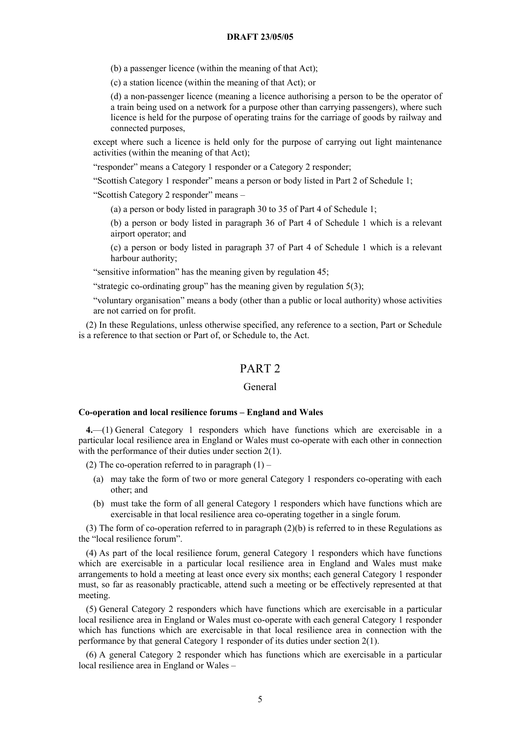(b) a passenger licence (within the meaning of that Act);

(c) a station licence (within the meaning of that Act); or

(d) a non-passenger licence (meaning a licence authorising a person to be the operator of a train being used on a network for a purpose other than carrying passengers), where such licence is held for the purpose of operating trains for the carriage of goods by railway and connected purposes,

except where such a licence is held only for the purpose of carrying out light maintenance activities (within the meaning of that Act);

"responder" means a Category 1 responder or a Category 2 responder;

"Scottish Category 1 responder" means a person or body listed in Part 2 of Schedule 1;

"Scottish Category 2 responder" means –

(a) a person or body listed in paragraph 30 to 35 of Part 4 of Schedule 1;

(b) a person or body listed in paragraph 36 of Part 4 of Schedule 1 which is a relevant airport operator; and

(c) a person or body listed in paragraph 37 of Part 4 of Schedule 1 which is a relevant harbour authority;

"sensitive information" has the meaning given by regulation 45;

"strategic co-ordinating group" has the meaning given by regulation 5(3);

"voluntary organisation" means a body (other than a public or local authority) whose activities are not carried on for profit.

(2) In these Regulations, unless otherwise specified, any reference to a section, Part or Schedule is a reference to that section or Part of, or Schedule to, the Act.

## PART 2

## General

#### **Co-operation and local resilience forums – England and Wales**

**4.**—(1) General Category 1 responders which have functions which are exercisable in a particular local resilience area in England or Wales must co-operate with each other in connection with the performance of their duties under section 2(1).

(2) The co-operation referred to in paragraph  $(1)$  –

- (a) may take the form of two or more general Category 1 responders co-operating with each other; and
- (b) must take the form of all general Category 1 responders which have functions which are exercisable in that local resilience area co-operating together in a single forum.

(3) The form of co-operation referred to in paragraph (2)(b) is referred to in these Regulations as the "local resilience forum".

(4) As part of the local resilience forum, general Category 1 responders which have functions which are exercisable in a particular local resilience area in England and Wales must make arrangements to hold a meeting at least once every six months; each general Category 1 responder must, so far as reasonably practicable, attend such a meeting or be effectively represented at that meeting.

(5) General Category 2 responders which have functions which are exercisable in a particular local resilience area in England or Wales must co-operate with each general Category 1 responder which has functions which are exercisable in that local resilience area in connection with the performance by that general Category 1 responder of its duties under section 2(1).

(6) A general Category 2 responder which has functions which are exercisable in a particular local resilience area in England or Wales –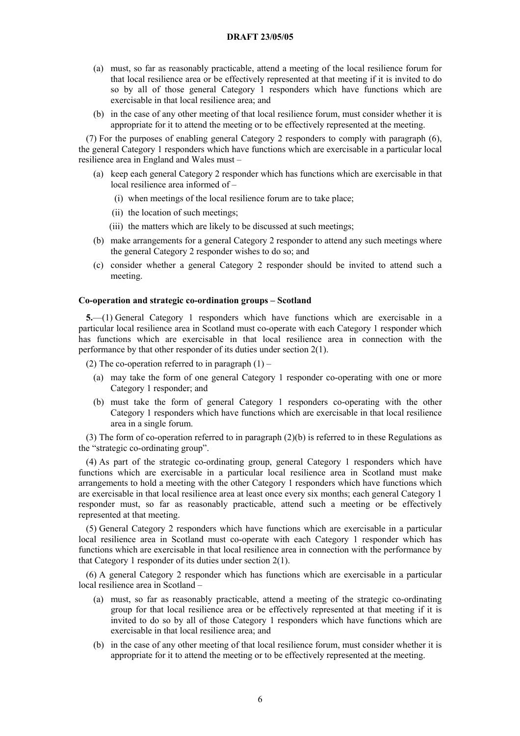- (a) must, so far as reasonably practicable, attend a meeting of the local resilience forum for that local resilience area or be effectively represented at that meeting if it is invited to do so by all of those general Category 1 responders which have functions which are exercisable in that local resilience area; and
- (b) in the case of any other meeting of that local resilience forum, must consider whether it is appropriate for it to attend the meeting or to be effectively represented at the meeting.

(7) For the purposes of enabling general Category 2 responders to comply with paragraph (6), the general Category 1 responders which have functions which are exercisable in a particular local resilience area in England and Wales must –

- (a) keep each general Category 2 responder which has functions which are exercisable in that local resilience area informed of –
	- (i) when meetings of the local resilience forum are to take place;
	- (ii) the location of such meetings;
	- (iii) the matters which are likely to be discussed at such meetings;
- (b) make arrangements for a general Category 2 responder to attend any such meetings where the general Category 2 responder wishes to do so; and
- (c) consider whether a general Category 2 responder should be invited to attend such a meeting.

## **Co-operation and strategic co-ordination groups – Scotland**

**5.**—(1) General Category 1 responders which have functions which are exercisable in a particular local resilience area in Scotland must co-operate with each Category 1 responder which has functions which are exercisable in that local resilience area in connection with the performance by that other responder of its duties under section 2(1).

(2) The co-operation referred to in paragraph  $(1)$  –

- (a) may take the form of one general Category 1 responder co-operating with one or more Category 1 responder; and
- (b) must take the form of general Category 1 responders co-operating with the other Category 1 responders which have functions which are exercisable in that local resilience area in a single forum.

(3) The form of co-operation referred to in paragraph (2)(b) is referred to in these Regulations as the "strategic co-ordinating group".

(4) As part of the strategic co-ordinating group, general Category 1 responders which have functions which are exercisable in a particular local resilience area in Scotland must make arrangements to hold a meeting with the other Category 1 responders which have functions which are exercisable in that local resilience area at least once every six months; each general Category 1 responder must, so far as reasonably practicable, attend such a meeting or be effectively represented at that meeting.

(5) General Category 2 responders which have functions which are exercisable in a particular local resilience area in Scotland must co-operate with each Category 1 responder which has functions which are exercisable in that local resilience area in connection with the performance by that Category 1 responder of its duties under section 2(1).

(6) A general Category 2 responder which has functions which are exercisable in a particular local resilience area in Scotland –

- (a) must, so far as reasonably practicable, attend a meeting of the strategic co-ordinating group for that local resilience area or be effectively represented at that meeting if it is invited to do so by all of those Category 1 responders which have functions which are exercisable in that local resilience area; and
- (b) in the case of any other meeting of that local resilience forum, must consider whether it is appropriate for it to attend the meeting or to be effectively represented at the meeting.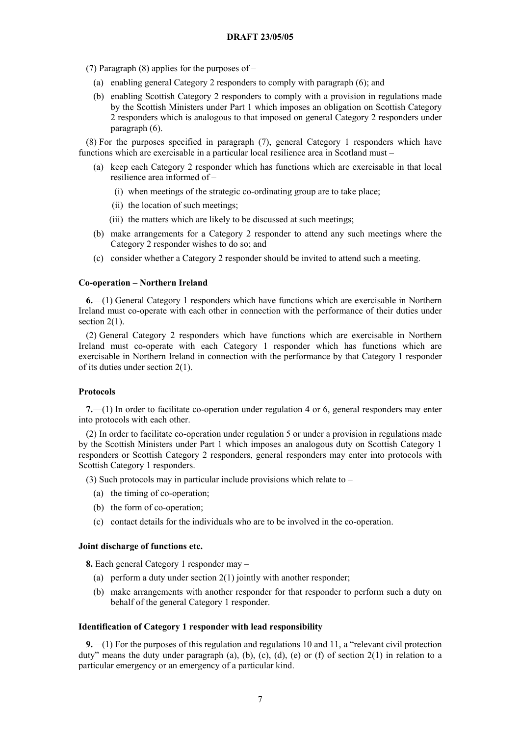(7) Paragraph (8) applies for the purposes of –

- (a) enabling general Category 2 responders to comply with paragraph (6); and
- (b) enabling Scottish Category 2 responders to comply with a provision in regulations made by the Scottish Ministers under Part 1 which imposes an obligation on Scottish Category 2 responders which is analogous to that imposed on general Category 2 responders under paragraph (6).

(8) For the purposes specified in paragraph (7), general Category 1 responders which have functions which are exercisable in a particular local resilience area in Scotland must –

- (a) keep each Category 2 responder which has functions which are exercisable in that local resilience area informed of –
	- (i) when meetings of the strategic co-ordinating group are to take place;
	- (ii) the location of such meetings;
	- (iii) the matters which are likely to be discussed at such meetings;
- (b) make arrangements for a Category 2 responder to attend any such meetings where the Category 2 responder wishes to do so; and
- (c) consider whether a Category 2 responder should be invited to attend such a meeting.

## **Co-operation – Northern Ireland**

**6.**—(1) General Category 1 responders which have functions which are exercisable in Northern Ireland must co-operate with each other in connection with the performance of their duties under section 2(1).

(2) General Category 2 responders which have functions which are exercisable in Northern Ireland must co-operate with each Category 1 responder which has functions which are exercisable in Northern Ireland in connection with the performance by that Category 1 responder of its duties under section 2(1).

## **Protocols**

**7.**—(1) In order to facilitate co-operation under regulation 4 or 6, general responders may enter into protocols with each other.

(2) In order to facilitate co-operation under regulation 5 or under a provision in regulations made by the Scottish Ministers under Part 1 which imposes an analogous duty on Scottish Category 1 responders or Scottish Category 2 responders, general responders may enter into protocols with Scottish Category 1 responders.

(3) Such protocols may in particular include provisions which relate to –

- (a) the timing of co-operation;
- (b) the form of co-operation;
- (c) contact details for the individuals who are to be involved in the co-operation.

## **Joint discharge of functions etc.**

**8.** Each general Category 1 responder may –

- (a) perform a duty under section  $2(1)$  jointly with another responder;
- (b) make arrangements with another responder for that responder to perform such a duty on behalf of the general Category 1 responder.

## **Identification of Category 1 responder with lead responsibility**

**9.**—(1) For the purposes of this regulation and regulations 10 and 11, a "relevant civil protection duty" means the duty under paragraph (a), (b), (c), (d), (e) or (f) of section  $2(1)$  in relation to a particular emergency or an emergency of a particular kind.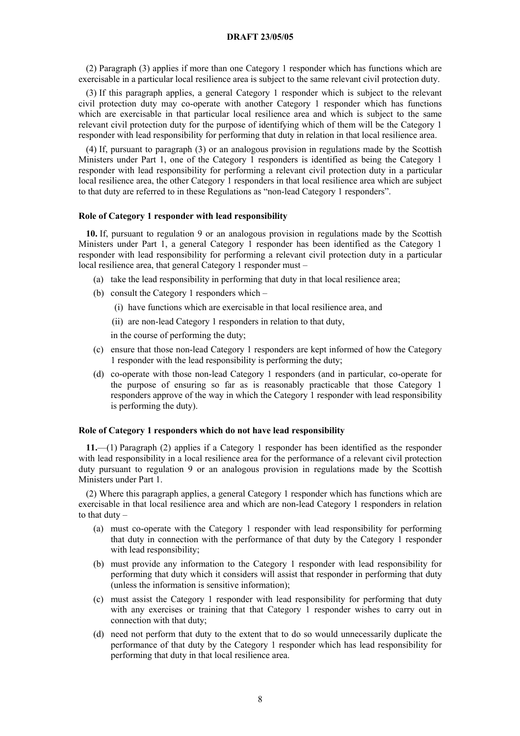(2) Paragraph (3) applies if more than one Category 1 responder which has functions which are exercisable in a particular local resilience area is subject to the same relevant civil protection duty.

(3) If this paragraph applies, a general Category 1 responder which is subject to the relevant civil protection duty may co-operate with another Category 1 responder which has functions which are exercisable in that particular local resilience area and which is subject to the same relevant civil protection duty for the purpose of identifying which of them will be the Category 1 responder with lead responsibility for performing that duty in relation in that local resilience area.

(4) If, pursuant to paragraph (3) or an analogous provision in regulations made by the Scottish Ministers under Part 1, one of the Category 1 responders is identified as being the Category 1 responder with lead responsibility for performing a relevant civil protection duty in a particular local resilience area, the other Category 1 responders in that local resilience area which are subject to that duty are referred to in these Regulations as "non-lead Category 1 responders".

#### **Role of Category 1 responder with lead responsibility**

**10.** If, pursuant to regulation 9 or an analogous provision in regulations made by the Scottish Ministers under Part 1, a general Category 1 responder has been identified as the Category 1 responder with lead responsibility for performing a relevant civil protection duty in a particular local resilience area, that general Category 1 responder must –

- (a) take the lead responsibility in performing that duty in that local resilience area;
- (b) consult the Category 1 responders which
	- (i) have functions which are exercisable in that local resilience area, and
	- (ii) are non-lead Category 1 responders in relation to that duty,

in the course of performing the duty;

- (c) ensure that those non-lead Category 1 responders are kept informed of how the Category 1 responder with the lead responsibility is performing the duty;
- (d) co-operate with those non-lead Category 1 responders (and in particular, co-operate for the purpose of ensuring so far as is reasonably practicable that those Category 1 responders approve of the way in which the Category 1 responder with lead responsibility is performing the duty).

### **Role of Category 1 responders which do not have lead responsibility**

**11.**—(1) Paragraph (2) applies if a Category 1 responder has been identified as the responder with lead responsibility in a local resilience area for the performance of a relevant civil protection duty pursuant to regulation 9 or an analogous provision in regulations made by the Scottish Ministers under Part 1.

(2) Where this paragraph applies, a general Category 1 responder which has functions which are exercisable in that local resilience area and which are non-lead Category 1 responders in relation to that duty –

- (a) must co-operate with the Category 1 responder with lead responsibility for performing that duty in connection with the performance of that duty by the Category 1 responder with lead responsibility;
- (b) must provide any information to the Category 1 responder with lead responsibility for performing that duty which it considers will assist that responder in performing that duty (unless the information is sensitive information);
- (c) must assist the Category 1 responder with lead responsibility for performing that duty with any exercises or training that that Category 1 responder wishes to carry out in connection with that duty;
- (d) need not perform that duty to the extent that to do so would unnecessarily duplicate the performance of that duty by the Category 1 responder which has lead responsibility for performing that duty in that local resilience area.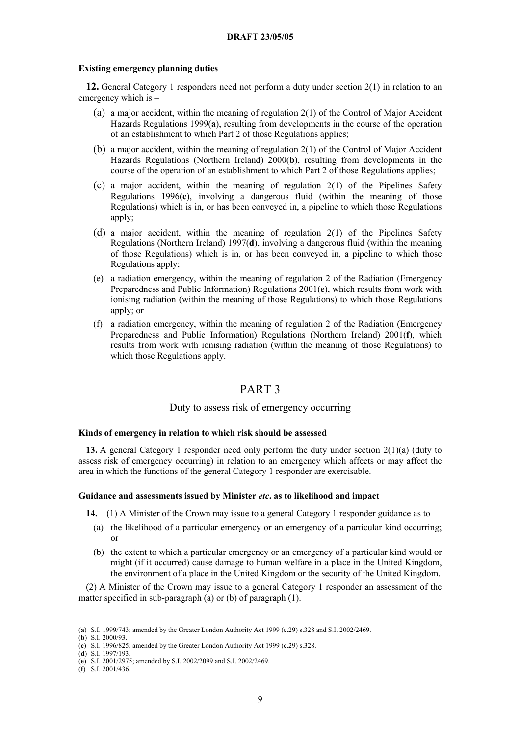## **Existing emergency planning duties**

**12.** General Category 1 responders need not perform a duty under section 2(1) in relation to an emergency which is –

- (a) a major accident, within the meaning of regulation 2(1) of the Control of Major Accident Hazards Regulations 1999(**[a](#page-8-0)**), resulting from developments in the course of the operation of an establishment to which Part 2 of those Regulations applies;
- (b) a major accident, within the meaning of regulation 2(1) of the Control of Major Accident Hazards Regulations (Northern Ireland) 2000(**[b](#page-8-1)**), resulting from developments in the course of the operation of an establishment to which Part 2 of those Regulations applies;
- (c) a major accident, within the meaning of regulation 2(1) of the Pipelines Safety Regulations 1996(**[c](#page-8-2)**), involving a dangerous fluid (within the meaning of those Regulations) which is in, or has been conveyed in, a pipeline to which those Regulations apply;
- (d) a major accident, within the meaning of regulation 2(1) of the Pipelines Safety Regulations (Northern Ireland) 1997(**[d](#page-8-3)**), involving a dangerous fluid (within the meaning of those Regulations) which is in, or has been conveyed in, a pipeline to which those Regulations apply;
- (e) a radiation emergency, within the meaning of regulation 2 of the Radiation (Emergency Preparedness and Public Information) Regulations 2001(**[e](#page-8-4)**), which results from work with ionising radiation (within the meaning of those Regulations) to which those Regulations apply; or
- (f) a radiation emergency, within the meaning of regulation 2 of the Radiation (Emergency Preparedness and Public Information) Regulations (Northern Ireland) 2001(**[f](#page-8-5)**), which results from work with ionising radiation (within the meaning of those Regulations) to which those Regulations apply.

# PART 3

## Duty to assess risk of emergency occurring

## **Kinds of emergency in relation to which risk should be assessed**

**13.** A general Category 1 responder need only perform the duty under section 2(1)(a) (duty to assess risk of emergency occurring) in relation to an emergency which affects or may affect the area in which the functions of the general Category 1 responder are exercisable.

## **Guidance and assessments issued by Minister** *etc***. as to likelihood and impact**

**14.**—(1) A Minister of the Crown may issue to a general Category 1 responder guidance as to –

- (a) the likelihood of a particular emergency or an emergency of a particular kind occurring; or
- (b) the extent to which a particular emergency or an emergency of a particular kind would or might (if it occurred) cause damage to human welfare in a place in the United Kingdom, the environment of a place in the United Kingdom or the security of the United Kingdom.

(2) A Minister of the Crown may issue to a general Category 1 responder an assessment of the matter specified in sub-paragraph (a) or (b) of paragraph (1).

<u>.</u>

<span id="page-8-3"></span>(**d**) S.I. 1997/193.

<span id="page-8-0"></span><sup>(</sup>**a**) S.I. 1999/743; amended by the Greater London Authority Act 1999 (c.29) s.328 and S.I. 2002/2469.

<span id="page-8-1"></span><sup>(</sup>**b**) S.I. 2000/93.

<span id="page-8-2"></span><sup>(</sup>**c**) S.I. 1996/825; amended by the Greater London Authority Act 1999 (c.29) s.328.

<span id="page-8-4"></span><sup>(</sup>**e**) S.I. 2001/2975; amended by S.I. 2002/2099 and S.I. 2002/2469.

<span id="page-8-5"></span><sup>(</sup>**f**) S.I. 2001/436.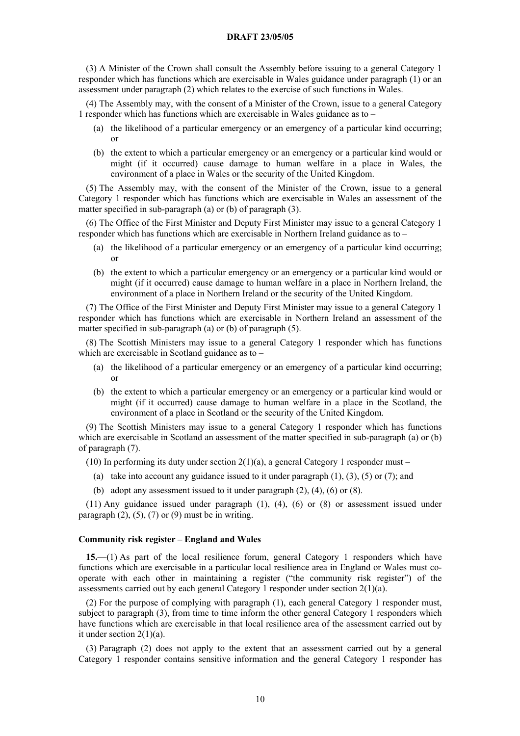(3) A Minister of the Crown shall consult the Assembly before issuing to a general Category 1 responder which has functions which are exercisable in Wales guidance under paragraph (1) or an assessment under paragraph (2) which relates to the exercise of such functions in Wales.

(4) The Assembly may, with the consent of a Minister of the Crown, issue to a general Category 1 responder which has functions which are exercisable in Wales guidance as to –

- (a) the likelihood of a particular emergency or an emergency of a particular kind occurring; or
- (b) the extent to which a particular emergency or an emergency or a particular kind would or might (if it occurred) cause damage to human welfare in a place in Wales, the environment of a place in Wales or the security of the United Kingdom.

(5) The Assembly may, with the consent of the Minister of the Crown, issue to a general Category 1 responder which has functions which are exercisable in Wales an assessment of the matter specified in sub-paragraph (a) or (b) of paragraph (3).

(6) The Office of the First Minister and Deputy First Minister may issue to a general Category 1 responder which has functions which are exercisable in Northern Ireland guidance as to –

- (a) the likelihood of a particular emergency or an emergency of a particular kind occurring; or
- (b) the extent to which a particular emergency or an emergency or a particular kind would or might (if it occurred) cause damage to human welfare in a place in Northern Ireland, the environment of a place in Northern Ireland or the security of the United Kingdom.

(7) The Office of the First Minister and Deputy First Minister may issue to a general Category 1 responder which has functions which are exercisable in Northern Ireland an assessment of the matter specified in sub-paragraph (a) or (b) of paragraph (5).

(8) The Scottish Ministers may issue to a general Category 1 responder which has functions which are exercisable in Scotland guidance as to –

- (a) the likelihood of a particular emergency or an emergency of a particular kind occurring; or
- (b) the extent to which a particular emergency or an emergency or a particular kind would or might (if it occurred) cause damage to human welfare in a place in the Scotland, the environment of a place in Scotland or the security of the United Kingdom.

(9) The Scottish Ministers may issue to a general Category 1 responder which has functions which are exercisable in Scotland an assessment of the matter specified in sub-paragraph (a) or (b) of paragraph (7).

(10) In performing its duty under section  $2(1)(a)$ , a general Category 1 responder must –

- (a) take into account any guidance issued to it under paragraph  $(1)$ ,  $(3)$ ,  $(5)$  or  $(7)$ ; and
- (b) adopt any assessment issued to it under paragraph  $(2)$ ,  $(4)$ ,  $(6)$  or  $(8)$ .

(11) Any guidance issued under paragraph (1), (4), (6) or (8) or assessment issued under paragraph  $(2)$ ,  $(5)$ ,  $(7)$  or  $(9)$  must be in writing.

### **Community risk register – England and Wales**

**15.**—(1) As part of the local resilience forum, general Category 1 responders which have functions which are exercisable in a particular local resilience area in England or Wales must cooperate with each other in maintaining a register ("the community risk register") of the assessments carried out by each general Category 1 responder under section 2(1)(a).

(2) For the purpose of complying with paragraph (1), each general Category 1 responder must, subject to paragraph (3), from time to time inform the other general Category 1 responders which have functions which are exercisable in that local resilience area of the assessment carried out by it under section 2(1)(a).

(3) Paragraph (2) does not apply to the extent that an assessment carried out by a general Category 1 responder contains sensitive information and the general Category 1 responder has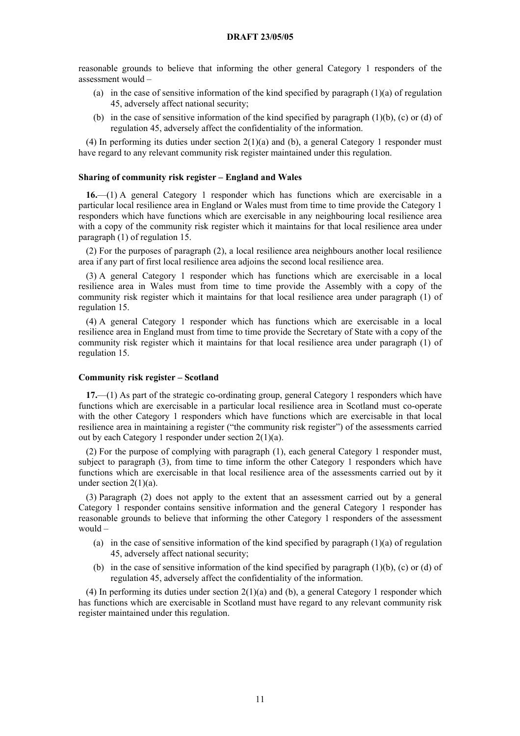reasonable grounds to believe that informing the other general Category 1 responders of the assessment would –

- (a) in the case of sensitive information of the kind specified by paragraph (1)(a) of regulation 45, adversely affect national security;
- (b) in the case of sensitive information of the kind specified by paragraph  $(1)(b)$ , (c) or (d) of regulation 45, adversely affect the confidentiality of the information.

(4) In performing its duties under section  $2(1)(a)$  and (b), a general Category 1 responder must have regard to any relevant community risk register maintained under this regulation.

## **Sharing of community risk register – England and Wales**

**16.**—(1) A general Category 1 responder which has functions which are exercisable in a particular local resilience area in England or Wales must from time to time provide the Category 1 responders which have functions which are exercisable in any neighbouring local resilience area with a copy of the community risk register which it maintains for that local resilience area under paragraph (1) of regulation 15.

(2) For the purposes of paragraph (2), a local resilience area neighbours another local resilience area if any part of first local resilience area adjoins the second local resilience area.

(3) A general Category 1 responder which has functions which are exercisable in a local resilience area in Wales must from time to time provide the Assembly with a copy of the community risk register which it maintains for that local resilience area under paragraph (1) of regulation 15.

(4) A general Category 1 responder which has functions which are exercisable in a local resilience area in England must from time to time provide the Secretary of State with a copy of the community risk register which it maintains for that local resilience area under paragraph (1) of regulation 15.

#### **Community risk register – Scotland**

**17.**—(1) As part of the strategic co-ordinating group, general Category 1 responders which have functions which are exercisable in a particular local resilience area in Scotland must co-operate with the other Category 1 responders which have functions which are exercisable in that local resilience area in maintaining a register ("the community risk register") of the assessments carried out by each Category 1 responder under section 2(1)(a).

(2) For the purpose of complying with paragraph (1), each general Category 1 responder must, subject to paragraph (3), from time to time inform the other Category 1 responders which have functions which are exercisable in that local resilience area of the assessments carried out by it under section  $2(1)(a)$ .

(3) Paragraph (2) does not apply to the extent that an assessment carried out by a general Category 1 responder contains sensitive information and the general Category 1 responder has reasonable grounds to believe that informing the other Category 1 responders of the assessment would –

- (a) in the case of sensitive information of the kind specified by paragraph  $(1)(a)$  of regulation 45, adversely affect national security;
- (b) in the case of sensitive information of the kind specified by paragraph (1)(b), (c) or (d) of regulation 45, adversely affect the confidentiality of the information.

(4) In performing its duties under section 2(1)(a) and (b), a general Category 1 responder which has functions which are exercisable in Scotland must have regard to any relevant community risk register maintained under this regulation.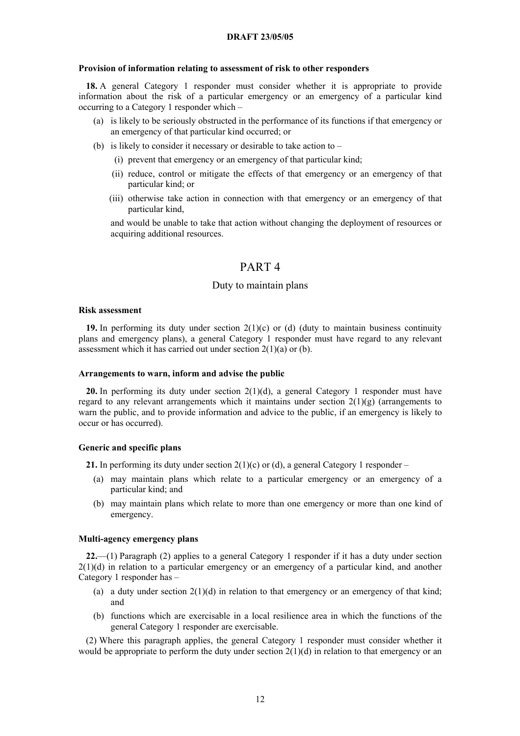### **Provision of information relating to assessment of risk to other responders**

**18.** A general Category 1 responder must consider whether it is appropriate to provide information about the risk of a particular emergency or an emergency of a particular kind occurring to a Category 1 responder which –

- (a) is likely to be seriously obstructed in the performance of its functions if that emergency or an emergency of that particular kind occurred; or
- (b) is likely to consider it necessary or desirable to take action to  $-$ 
	- (i) prevent that emergency or an emergency of that particular kind;
	- (ii) reduce, control or mitigate the effects of that emergency or an emergency of that particular kind; or
	- (iii) otherwise take action in connection with that emergency or an emergency of that particular kind,

and would be unable to take that action without changing the deployment of resources or acquiring additional resources.

# PART 4

## Duty to maintain plans

## **Risk assessment**

**19.** In performing its duty under section  $2(1)(c)$  or (d) (duty to maintain business continuity plans and emergency plans), a general Category 1 responder must have regard to any relevant assessment which it has carried out under section  $2(1)(a)$  or (b).

#### **Arrangements to warn, inform and advise the public**

**20.** In performing its duty under section 2(1)(d), a general Category 1 responder must have regard to any relevant arrangements which it maintains under section  $2(1)(g)$  (arrangements to warn the public, and to provide information and advice to the public, if an emergency is likely to occur or has occurred).

#### **Generic and specific plans**

**21.** In performing its duty under section  $2(1)(c)$  or (d), a general Category 1 responder –

- (a) may maintain plans which relate to a particular emergency or an emergency of a particular kind; and
- (b) may maintain plans which relate to more than one emergency or more than one kind of emergency.

#### **Multi-agency emergency plans**

**22.**—(1) Paragraph (2) applies to a general Category 1 responder if it has a duty under section  $2(1)(d)$  in relation to a particular emergency or an emergency of a particular kind, and another Category 1 responder has –

- (a) a duty under section  $2(1)(d)$  in relation to that emergency or an emergency of that kind; and
- (b) functions which are exercisable in a local resilience area in which the functions of the general Category 1 responder are exercisable.

(2) Where this paragraph applies, the general Category 1 responder must consider whether it would be appropriate to perform the duty under section  $2(1)(d)$  in relation to that emergency or an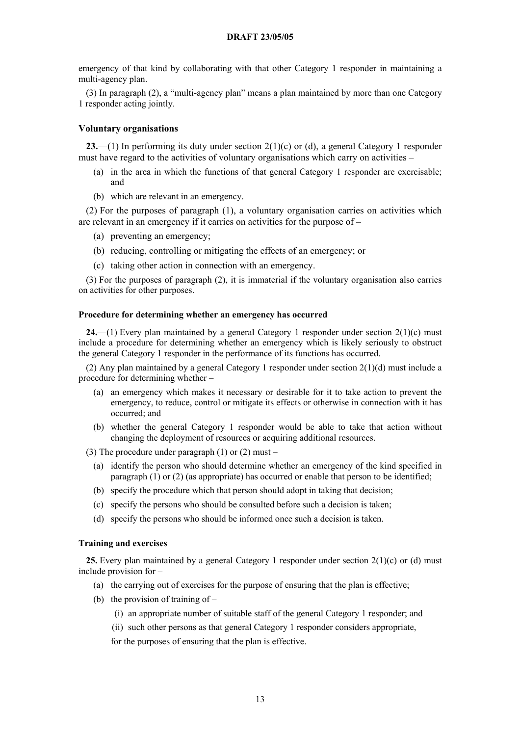emergency of that kind by collaborating with that other Category 1 responder in maintaining a multi-agency plan.

(3) In paragraph (2), a "multi-agency plan" means a plan maintained by more than one Category 1 responder acting jointly.

## **Voluntary organisations**

**23.**—(1) In performing its duty under section 2(1)(c) or (d), a general Category 1 responder must have regard to the activities of voluntary organisations which carry on activities –

- (a) in the area in which the functions of that general Category 1 responder are exercisable; and
- (b) which are relevant in an emergency.

(2) For the purposes of paragraph (1), a voluntary organisation carries on activities which are relevant in an emergency if it carries on activities for the purpose of –

- (a) preventing an emergency;
- (b) reducing, controlling or mitigating the effects of an emergency; or
- (c) taking other action in connection with an emergency.

(3) For the purposes of paragraph (2), it is immaterial if the voluntary organisation also carries on activities for other purposes.

## **Procedure for determining whether an emergency has occurred**

**24.**—(1) Every plan maintained by a general Category 1 responder under section 2(1)(c) must include a procedure for determining whether an emergency which is likely seriously to obstruct the general Category 1 responder in the performance of its functions has occurred.

(2) Any plan maintained by a general Category 1 responder under section  $2(1)(d)$  must include a procedure for determining whether –

- (a) an emergency which makes it necessary or desirable for it to take action to prevent the emergency, to reduce, control or mitigate its effects or otherwise in connection with it has occurred; and
- (b) whether the general Category 1 responder would be able to take that action without changing the deployment of resources or acquiring additional resources.

(3) The procedure under paragraph (1) or (2) must –

- (a) identify the person who should determine whether an emergency of the kind specified in paragraph (1) or (2) (as appropriate) has occurred or enable that person to be identified;
- (b) specify the procedure which that person should adopt in taking that decision;
- (c) specify the persons who should be consulted before such a decision is taken;
- (d) specify the persons who should be informed once such a decision is taken.

## **Training and exercises**

**25.** Every plan maintained by a general Category 1 responder under section 2(1)(c) or (d) must include provision for –

- (a) the carrying out of exercises for the purpose of ensuring that the plan is effective;
- (b) the provision of training of  $-$ 
	- (i) an appropriate number of suitable staff of the general Category 1 responder; and
	- (ii) such other persons as that general Category 1 responder considers appropriate,
	- for the purposes of ensuring that the plan is effective.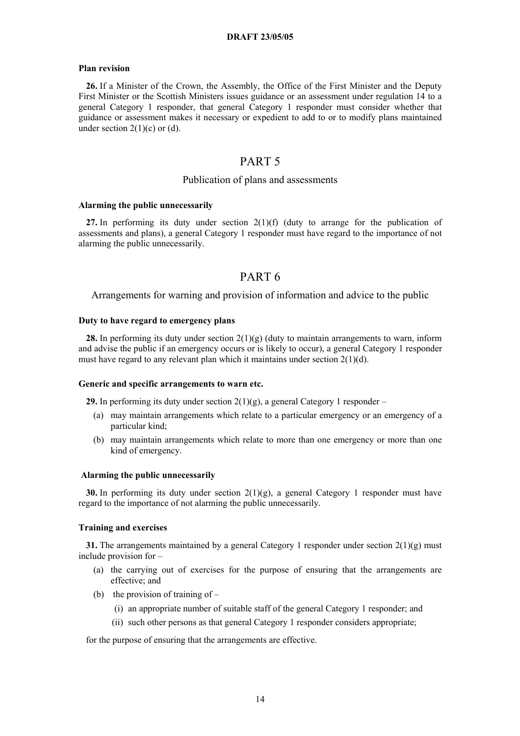#### **Plan revision**

**26.** If a Minister of the Crown, the Assembly, the Office of the First Minister and the Deputy First Minister or the Scottish Ministers issues guidance or an assessment under regulation 14 to a general Category 1 responder, that general Category 1 responder must consider whether that guidance or assessment makes it necessary or expedient to add to or to modify plans maintained under section  $2(1)(c)$  or (d).

# PART 5

## Publication of plans and assessments

#### **Alarming the public unnecessarily**

27. In performing its duty under section 2(1)(f) (duty to arrange for the publication of assessments and plans), a general Category 1 responder must have regard to the importance of not alarming the public unnecessarily.

# PART 6

## Arrangements for warning and provision of information and advice to the public

## **Duty to have regard to emergency plans**

**28.** In performing its duty under section 2(1)(g) (duty to maintain arrangements to warn, inform and advise the public if an emergency occurs or is likely to occur), a general Category 1 responder must have regard to any relevant plan which it maintains under section  $2(1)(d)$ .

#### **Generic and specific arrangements to warn etc.**

**29.** In performing its duty under section 2(1)(g), a general Category 1 responder –

- (a) may maintain arrangements which relate to a particular emergency or an emergency of a particular kind;
- (b) may maintain arrangements which relate to more than one emergency or more than one kind of emergency.

### **Alarming the public unnecessarily**

**30.** In performing its duty under section  $2(1)(g)$ , a general Category 1 responder must have regard to the importance of not alarming the public unnecessarily.

## **Training and exercises**

**31.** The arrangements maintained by a general Category 1 responder under section  $2(1)(g)$  must include provision for –

- (a) the carrying out of exercises for the purpose of ensuring that the arrangements are effective; and
- (b) the provision of training of  $-$ 
	- (i) an appropriate number of suitable staff of the general Category 1 responder; and
	- (ii) such other persons as that general Category 1 responder considers appropriate;

for the purpose of ensuring that the arrangements are effective.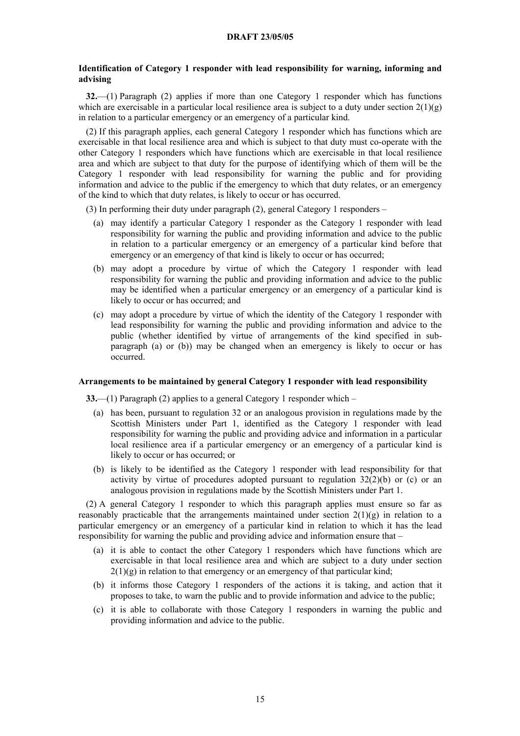## **Identification of Category 1 responder with lead responsibility for warning, informing and advising**

**32.**—(1) Paragraph (2) applies if more than one Category 1 responder which has functions which are exercisable in a particular local resilience area is subject to a duty under section  $2(1)(g)$ in relation to a particular emergency or an emergency of a particular kind.

(2) If this paragraph applies, each general Category 1 responder which has functions which are exercisable in that local resilience area and which is subject to that duty must co-operate with the other Category 1 responders which have functions which are exercisable in that local resilience area and which are subject to that duty for the purpose of identifying which of them will be the Category 1 responder with lead responsibility for warning the public and for providing information and advice to the public if the emergency to which that duty relates, or an emergency of the kind to which that duty relates, is likely to occur or has occurred.

(3) In performing their duty under paragraph (2), general Category 1 responders –

- (a) may identify a particular Category 1 responder as the Category 1 responder with lead responsibility for warning the public and providing information and advice to the public in relation to a particular emergency or an emergency of a particular kind before that emergency or an emergency of that kind is likely to occur or has occurred;
- (b) may adopt a procedure by virtue of which the Category 1 responder with lead responsibility for warning the public and providing information and advice to the public may be identified when a particular emergency or an emergency of a particular kind is likely to occur or has occurred; and
- (c) may adopt a procedure by virtue of which the identity of the Category 1 responder with lead responsibility for warning the public and providing information and advice to the public (whether identified by virtue of arrangements of the kind specified in subparagraph (a) or (b)) may be changed when an emergency is likely to occur or has occurred.

## **Arrangements to be maintained by general Category 1 responder with lead responsibility**

**33.**—(1) Paragraph (2) applies to a general Category 1 responder which –

- (a) has been, pursuant to regulation 32 or an analogous provision in regulations made by the Scottish Ministers under Part 1, identified as the Category 1 responder with lead responsibility for warning the public and providing advice and information in a particular local resilience area if a particular emergency or an emergency of a particular kind is likely to occur or has occurred; or
- (b) is likely to be identified as the Category 1 responder with lead responsibility for that activity by virtue of procedures adopted pursuant to regulation  $32(2)(b)$  or (c) or an analogous provision in regulations made by the Scottish Ministers under Part 1.

(2) A general Category 1 responder to which this paragraph applies must ensure so far as reasonably practicable that the arrangements maintained under section  $2(1)(g)$  in relation to a particular emergency or an emergency of a particular kind in relation to which it has the lead responsibility for warning the public and providing advice and information ensure that –

- (a) it is able to contact the other Category 1 responders which have functions which are exercisable in that local resilience area and which are subject to a duty under section  $2(1)(g)$  in relation to that emergency or an emergency of that particular kind;
- (b) it informs those Category 1 responders of the actions it is taking, and action that it proposes to take, to warn the public and to provide information and advice to the public;
- (c) it is able to collaborate with those Category 1 responders in warning the public and providing information and advice to the public.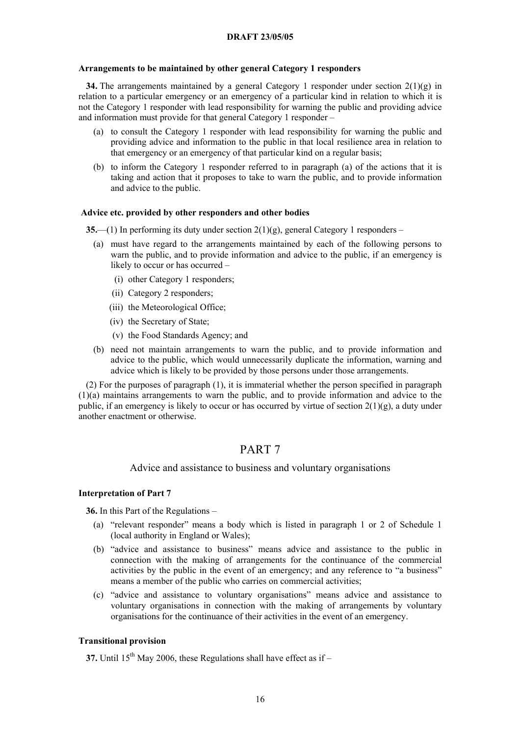## **Arrangements to be maintained by other general Category 1 responders**

**34.** The arrangements maintained by a general Category 1 responder under section  $2(1)(g)$  in relation to a particular emergency or an emergency of a particular kind in relation to which it is not the Category 1 responder with lead responsibility for warning the public and providing advice and information must provide for that general Category 1 responder –

- (a) to consult the Category 1 responder with lead responsibility for warning the public and providing advice and information to the public in that local resilience area in relation to that emergency or an emergency of that particular kind on a regular basis;
- (b) to inform the Category 1 responder referred to in paragraph (a) of the actions that it is taking and action that it proposes to take to warn the public, and to provide information and advice to the public.

#### **Advice etc. provided by other responders and other bodies**

**35.**—(1) In performing its duty under section 2(1)(g), general Category 1 responders –

- (a) must have regard to the arrangements maintained by each of the following persons to warn the public, and to provide information and advice to the public, if an emergency is likely to occur or has occurred –
	- (i) other Category 1 responders;
	- (ii) Category 2 responders;
	- (iii) the Meteorological Office;
	- (iv) the Secretary of State;
	- (v) the Food Standards Agency; and
- (b) need not maintain arrangements to warn the public, and to provide information and advice to the public, which would unnecessarily duplicate the information, warning and advice which is likely to be provided by those persons under those arrangements.

(2) For the purposes of paragraph (1), it is immaterial whether the person specified in paragraph (1)(a) maintains arrangements to warn the public, and to provide information and advice to the public, if an emergency is likely to occur or has occurred by virtue of section 2(1)(g), a duty under another enactment or otherwise.

# PART 7

## Advice and assistance to business and voluntary organisations

#### **Interpretation of Part 7**

**36.** In this Part of the Regulations –

- (a) "relevant responder" means a body which is listed in paragraph 1 or 2 of Schedule 1 (local authority in England or Wales);
- (b) "advice and assistance to business" means advice and assistance to the public in connection with the making of arrangements for the continuance of the commercial activities by the public in the event of an emergency; and any reference to "a business" means a member of the public who carries on commercial activities;
- (c) "advice and assistance to voluntary organisations" means advice and assistance to voluntary organisations in connection with the making of arrangements by voluntary organisations for the continuance of their activities in the event of an emergency.

## **Transitional provision**

**37.** Until  $15^{th}$  May 2006, these Regulations shall have effect as if –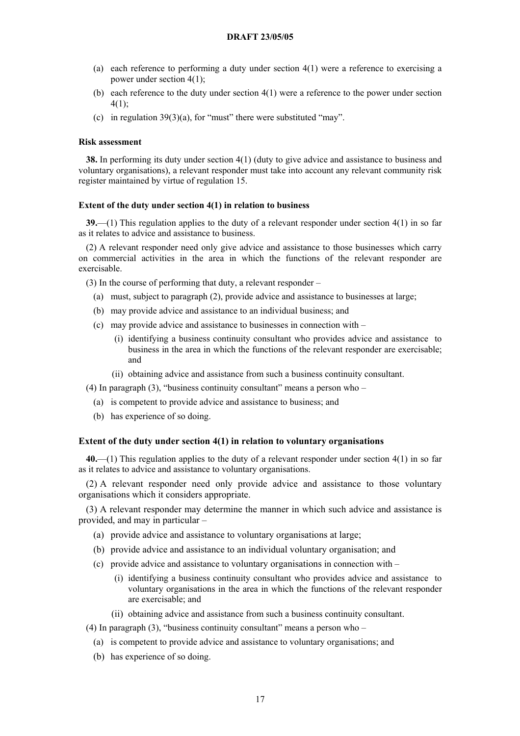- (a) each reference to performing a duty under section 4(1) were a reference to exercising a power under section 4(1);
- (b) each reference to the duty under section 4(1) were a reference to the power under section 4(1);
- (c) in regulation  $39(3)(a)$ , for "must" there were substituted "may".

## **Risk assessment**

**38.** In performing its duty under section 4(1) (duty to give advice and assistance to business and voluntary organisations), a relevant responder must take into account any relevant community risk register maintained by virtue of regulation 15.

### **Extent of the duty under section 4(1) in relation to business**

**39.**—(1) This regulation applies to the duty of a relevant responder under section 4(1) in so far as it relates to advice and assistance to business.

(2) A relevant responder need only give advice and assistance to those businesses which carry on commercial activities in the area in which the functions of the relevant responder are exercisable.

(3) In the course of performing that duty, a relevant responder –

- (a) must, subject to paragraph (2), provide advice and assistance to businesses at large;
- (b) may provide advice and assistance to an individual business; and
- (c) may provide advice and assistance to businesses in connection with
	- (i) identifying a business continuity consultant who provides advice and assistance to business in the area in which the functions of the relevant responder are exercisable; and
	- (ii) obtaining advice and assistance from such a business continuity consultant.

(4) In paragraph  $(3)$ , "business continuity consultant" means a person who –

- (a) is competent to provide advice and assistance to business; and
- (b) has experience of so doing.

#### **Extent of the duty under section 4(1) in relation to voluntary organisations**

**40.**—(1) This regulation applies to the duty of a relevant responder under section 4(1) in so far as it relates to advice and assistance to voluntary organisations.

(2) A relevant responder need only provide advice and assistance to those voluntary organisations which it considers appropriate.

(3) A relevant responder may determine the manner in which such advice and assistance is provided, and may in particular –

- (a) provide advice and assistance to voluntary organisations at large;
- (b) provide advice and assistance to an individual voluntary organisation; and
- (c) provide advice and assistance to voluntary organisations in connection with  $-$ 
	- (i) identifying a business continuity consultant who provides advice and assistance to voluntary organisations in the area in which the functions of the relevant responder are exercisable; and
	- (ii) obtaining advice and assistance from such a business continuity consultant.
- (4) In paragraph (3), "business continuity consultant" means a person who
	- (a) is competent to provide advice and assistance to voluntary organisations; and
	- (b) has experience of so doing.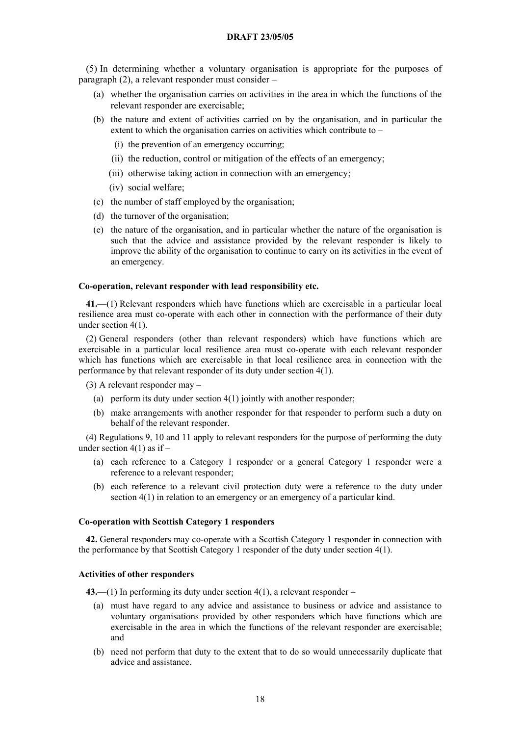(5) In determining whether a voluntary organisation is appropriate for the purposes of paragraph (2), a relevant responder must consider –

- (a) whether the organisation carries on activities in the area in which the functions of the relevant responder are exercisable;
- (b) the nature and extent of activities carried on by the organisation, and in particular the extent to which the organisation carries on activities which contribute to –
	- (i) the prevention of an emergency occurring;
	- (ii) the reduction, control or mitigation of the effects of an emergency;
	- (iii) otherwise taking action in connection with an emergency;
	- (iv) social welfare;
- (c) the number of staff employed by the organisation;
- (d) the turnover of the organisation;
- (e) the nature of the organisation, and in particular whether the nature of the organisation is such that the advice and assistance provided by the relevant responder is likely to improve the ability of the organisation to continue to carry on its activities in the event of an emergency.

## **Co-operation, relevant responder with lead responsibility etc.**

**41.**—(1) Relevant responders which have functions which are exercisable in a particular local resilience area must co-operate with each other in connection with the performance of their duty under section 4(1).

(2) General responders (other than relevant responders) which have functions which are exercisable in a particular local resilience area must co-operate with each relevant responder which has functions which are exercisable in that local resilience area in connection with the performance by that relevant responder of its duty under section 4(1).

(3) A relevant responder may –

- (a) perform its duty under section 4(1) jointly with another responder;
- (b) make arrangements with another responder for that responder to perform such a duty on behalf of the relevant responder.

(4) Regulations 9, 10 and 11 apply to relevant responders for the purpose of performing the duty under section  $4(1)$  as if –

- (a) each reference to a Category 1 responder or a general Category 1 responder were a reference to a relevant responder;
- (b) each reference to a relevant civil protection duty were a reference to the duty under section 4(1) in relation to an emergency or an emergency of a particular kind.

## **Co-operation with Scottish Category 1 responders**

**42.** General responders may co-operate with a Scottish Category 1 responder in connection with the performance by that Scottish Category 1 responder of the duty under section 4(1).

## **Activities of other responders**

**43.**—(1) In performing its duty under section 4(1), a relevant responder –

- (a) must have regard to any advice and assistance to business or advice and assistance to voluntary organisations provided by other responders which have functions which are exercisable in the area in which the functions of the relevant responder are exercisable; and
- (b) need not perform that duty to the extent that to do so would unnecessarily duplicate that advice and assistance.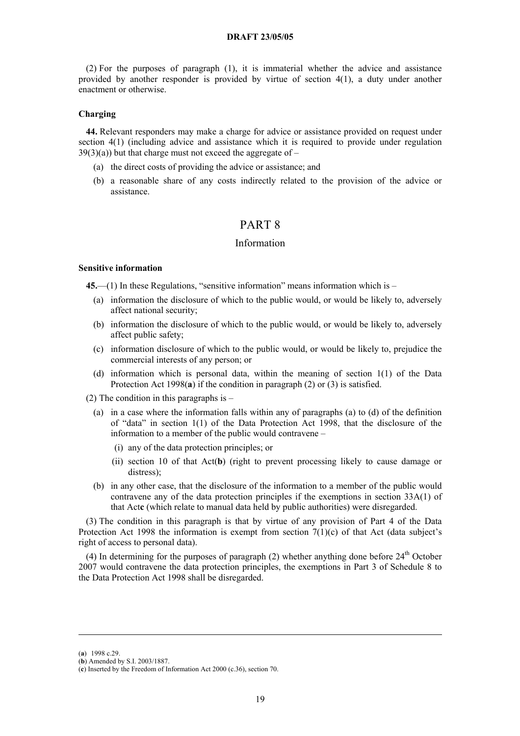(2) For the purposes of paragraph (1), it is immaterial whether the advice and assistance provided by another responder is provided by virtue of section 4(1), a duty under another enactment or otherwise.

## **Charging**

**44.** Relevant responders may make a charge for advice or assistance provided on request under section 4(1) (including advice and assistance which it is required to provide under regulation  $39(3)(a)$ ) but that charge must not exceed the aggregate of –

- (a) the direct costs of providing the advice or assistance; and
- (b) a reasonable share of any costs indirectly related to the provision of the advice or assistance.

# PART 8

## Information

#### **Sensitive information**

**45.**—(1) In these Regulations, "sensitive information" means information which is –

- (a) information the disclosure of which to the public would, or would be likely to, adversely affect national security;
- (b) information the disclosure of which to the public would, or would be likely to, adversely affect public safety;
- (c) information disclosure of which to the public would, or would be likely to, prejudice the commercial interests of any person; or
- (d) information which is personal data, within the meaning of section 1(1) of the Data Protection Act 1998(**[a](#page-18-0)**) if the condition in paragraph (2) or (3) is satisfied.
- (2) The condition in this paragraphs is
	- (a) in a case where the information falls within any of paragraphs (a) to (d) of the definition of "data" in section 1(1) of the Data Protection Act 1998, that the disclosure of the information to a member of the public would contravene –
		- (i) any of the data protection principles; or
		- (ii) section 10 of that Act(**[b](#page-18-1)**) (right to prevent processing likely to cause damage or distress);
	- (b) in any other case, that the disclosure of the information to a member of the public would contravene any of the data protection principles if the exemptions in section 33A(1) of that Act**[c](#page-18-2)** (which relate to manual data held by public authorities) were disregarded.

(3) The condition in this paragraph is that by virtue of any provision of Part 4 of the Data Protection Act 1998 the information is exempt from section  $7(1)(c)$  of that Act (data subject's right of access to personal data).

(4) In determining for the purposes of paragraph (2) whether anything done before  $24<sup>th</sup>$  October 2007 would contravene the data protection principles, the exemptions in Part 3 of Schedule 8 to the Data Protection Act 1998 shall be disregarded.

<u>.</u>

<span id="page-18-0"></span><sup>(</sup>**a**) 1998 c.29.

<span id="page-18-1"></span><sup>(</sup>**b**) Amended by S.I. 2003/1887.

<span id="page-18-2"></span><sup>(</sup>**c**) Inserted by the Freedom of Information Act 2000 (c.36), section 70.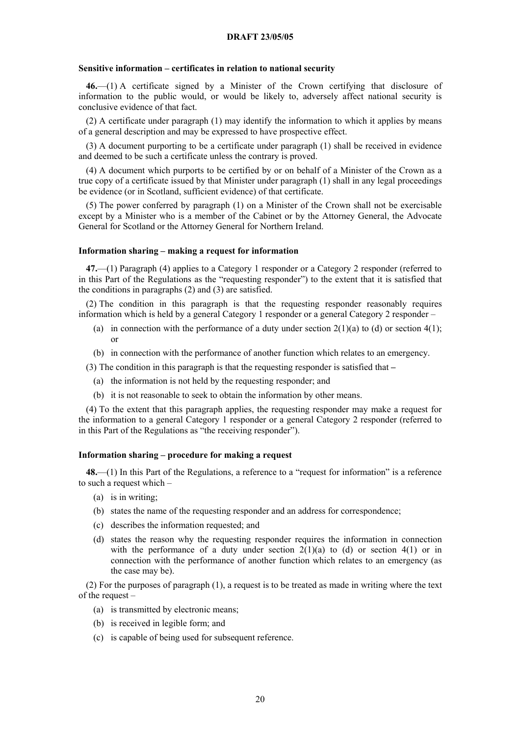### **Sensitive information – certificates in relation to national security**

**46.**—(1) A certificate signed by a Minister of the Crown certifying that disclosure of information to the public would, or would be likely to, adversely affect national security is conclusive evidence of that fact.

(2) A certificate under paragraph (1) may identify the information to which it applies by means of a general description and may be expressed to have prospective effect.

(3) A document purporting to be a certificate under paragraph (1) shall be received in evidence and deemed to be such a certificate unless the contrary is proved.

(4) A document which purports to be certified by or on behalf of a Minister of the Crown as a true copy of a certificate issued by that Minister under paragraph (1) shall in any legal proceedings be evidence (or in Scotland, sufficient evidence) of that certificate.

(5) The power conferred by paragraph (1) on a Minister of the Crown shall not be exercisable except by a Minister who is a member of the Cabinet or by the Attorney General, the Advocate General for Scotland or the Attorney General for Northern Ireland.

#### **Information sharing – making a request for information**

**47.**—(1) Paragraph (4) applies to a Category 1 responder or a Category 2 responder (referred to in this Part of the Regulations as the "requesting responder") to the extent that it is satisfied that the conditions in paragraphs (2) and (3) are satisfied.

(2) The condition in this paragraph is that the requesting responder reasonably requires information which is held by a general Category 1 responder or a general Category 2 responder –

- (a) in connection with the performance of a duty under section  $2(1)(a)$  to (d) or section  $4(1)$ ; or
- (b) in connection with the performance of another function which relates to an emergency.

(3) The condition in this paragraph is that the requesting responder is satisfied that **–** 

- (a) the information is not held by the requesting responder; and
- (b) it is not reasonable to seek to obtain the information by other means.

(4) To the extent that this paragraph applies, the requesting responder may make a request for the information to a general Category 1 responder or a general Category 2 responder (referred to in this Part of the Regulations as "the receiving responder").

#### **Information sharing – procedure for making a request**

**48.**—(1) In this Part of the Regulations, a reference to a "request for information" is a reference to such a request which –

- (a) is in writing;
- (b) states the name of the requesting responder and an address for correspondence;
- (c) describes the information requested; and
- (d) states the reason why the requesting responder requires the information in connection with the performance of a duty under section  $2(1)(a)$  to (d) or section  $4(1)$  or in connection with the performance of another function which relates to an emergency (as the case may be).

(2) For the purposes of paragraph (1), a request is to be treated as made in writing where the text of the request –

- (a) is transmitted by electronic means;
- (b) is received in legible form; and
- (c) is capable of being used for subsequent reference.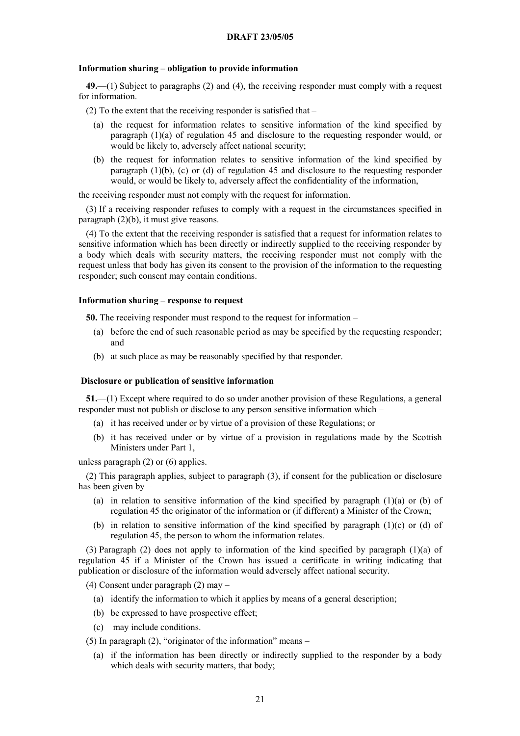### **Information sharing – obligation to provide information**

**49.**—(1) Subject to paragraphs (2) and (4), the receiving responder must comply with a request for information.

(2) To the extent that the receiving responder is satisfied that –

- (a) the request for information relates to sensitive information of the kind specified by paragraph (1)(a) of regulation 45 and disclosure to the requesting responder would, or would be likely to, adversely affect national security;
- (b) the request for information relates to sensitive information of the kind specified by paragraph (1)(b), (c) or (d) of regulation 45 and disclosure to the requesting responder would, or would be likely to, adversely affect the confidentiality of the information,

the receiving responder must not comply with the request for information.

(3) If a receiving responder refuses to comply with a request in the circumstances specified in paragraph (2)(b), it must give reasons.

(4) To the extent that the receiving responder is satisfied that a request for information relates to sensitive information which has been directly or indirectly supplied to the receiving responder by a body which deals with security matters, the receiving responder must not comply with the request unless that body has given its consent to the provision of the information to the requesting responder; such consent may contain conditions.

## **Information sharing – response to request**

**50.** The receiving responder must respond to the request for information –

- (a) before the end of such reasonable period as may be specified by the requesting responder; and
- (b) at such place as may be reasonably specified by that responder.

#### **Disclosure or publication of sensitive information**

**51.**—(1) Except where required to do so under another provision of these Regulations, a general responder must not publish or disclose to any person sensitive information which –

- (a) it has received under or by virtue of a provision of these Regulations; or
- (b) it has received under or by virtue of a provision in regulations made by the Scottish Ministers under Part 1,

unless paragraph (2) or (6) applies.

(2) This paragraph applies, subject to paragraph (3), if consent for the publication or disclosure has been given by –

- (a) in relation to sensitive information of the kind specified by paragraph (1)(a) or (b) of regulation 45 the originator of the information or (if different) a Minister of the Crown;
- (b) in relation to sensitive information of the kind specified by paragraph  $(1)(c)$  or (d) of regulation 45, the person to whom the information relates.

(3) Paragraph (2) does not apply to information of the kind specified by paragraph (1)(a) of regulation 45 if a Minister of the Crown has issued a certificate in writing indicating that publication or disclosure of the information would adversely affect national security.

(4) Consent under paragraph (2) may –

- (a) identify the information to which it applies by means of a general description;
- (b) be expressed to have prospective effect;
- (c) may include conditions.
- (5) In paragraph  $(2)$ , "originator of the information" means
	- (a) if the information has been directly or indirectly supplied to the responder by a body which deals with security matters, that body;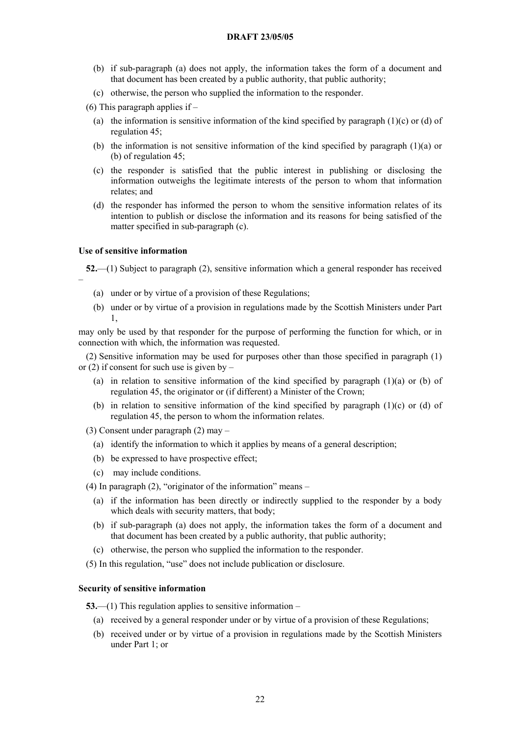- (b) if sub-paragraph (a) does not apply, the information takes the form of a document and that document has been created by a public authority, that public authority;
- (c) otherwise, the person who supplied the information to the responder.

(6) This paragraph applies if –

- (a) the information is sensitive information of the kind specified by paragraph  $(1)(c)$  or  $(d)$  of regulation 45;
- (b) the information is not sensitive information of the kind specified by paragraph (1)(a) or (b) of regulation 45;
- (c) the responder is satisfied that the public interest in publishing or disclosing the information outweighs the legitimate interests of the person to whom that information relates; and
- (d) the responder has informed the person to whom the sensitive information relates of its intention to publish or disclose the information and its reasons for being satisfied of the matter specified in sub-paragraph (c).

## **Use of sensitive information**

**52.**—(1) Subject to paragraph (2), sensitive information which a general responder has received –

- (a) under or by virtue of a provision of these Regulations;
- (b) under or by virtue of a provision in regulations made by the Scottish Ministers under Part 1,

may only be used by that responder for the purpose of performing the function for which, or in connection with which, the information was requested.

(2) Sensitive information may be used for purposes other than those specified in paragraph (1) or  $(2)$  if consent for such use is given by –

- (a) in relation to sensitive information of the kind specified by paragraph  $(1)(a)$  or  $(b)$  of regulation 45, the originator or (if different) a Minister of the Crown;
- (b) in relation to sensitive information of the kind specified by paragraph (1)(c) or (d) of regulation 45, the person to whom the information relates.

(3) Consent under paragraph (2) may –

- (a) identify the information to which it applies by means of a general description;
- (b) be expressed to have prospective effect;
- (c) may include conditions.

(4) In paragraph  $(2)$ , "originator of the information" means –

- (a) if the information has been directly or indirectly supplied to the responder by a body which deals with security matters, that body;
- (b) if sub-paragraph (a) does not apply, the information takes the form of a document and that document has been created by a public authority, that public authority;
- (c) otherwise, the person who supplied the information to the responder.

(5) In this regulation, "use" does not include publication or disclosure.

## **Security of sensitive information**

**53.**—(1) This regulation applies to sensitive information –

- (a) received by a general responder under or by virtue of a provision of these Regulations;
- (b) received under or by virtue of a provision in regulations made by the Scottish Ministers under Part 1; or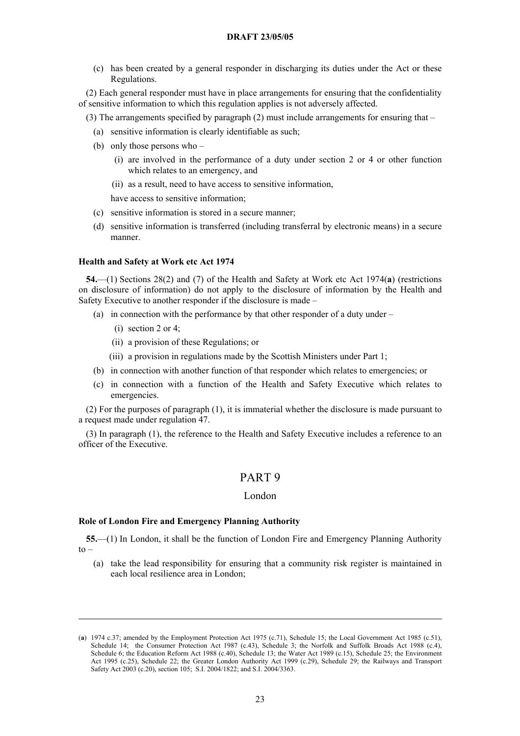(c) has been created by a general responder in discharging its duties under the Act or these Regulations.

(2) Each general responder must have in place arrangements for ensuring that the confidentiality of sensitive information to which this regulation applies is not adversely affected.

(3) The arrangements specified by paragraph (2) must include arrangements for ensuring that –

- (a) sensitive information is clearly identifiable as such;
- (b) only those persons who
	- (i) are involved in the performance of a duty under section 2 or 4 or other function which relates to an emergency, and
	- (ii) as a result, need to have access to sensitive information,

have access to sensitive information;

- (c) sensitive information is stored in a secure manner;
- (d) sensitive information is transferred (including transferral by electronic means) in a secure manner.

#### **Health and Safety at Work etc Act 1974**

**54.**—(1) Sections 28(2) and (7) of the Health and Safety at Work etc Act 1974(**[a](#page-22-0)**) (restrictions on disclosure of information) do not apply to the disclosure of information by the Health and Safety Executive to another responder if the disclosure is made –

- (a) in connection with the performance by that other responder of a duty under
	- (i) section 2 or 4;

<u>.</u>

- (ii) a provision of these Regulations; or
- (iii) a provision in regulations made by the Scottish Ministers under Part 1;
- (b) in connection with another function of that responder which relates to emergencies; or
- (c) in connection with a function of the Health and Safety Executive which relates to emergencies.

(2) For the purposes of paragraph (1), it is immaterial whether the disclosure is made pursuant to a request made under regulation 47.

(3) In paragraph (1), the reference to the Health and Safety Executive includes a reference to an officer of the Executive.

# PART 9

## London

#### **Role of London Fire and Emergency Planning Authority**

**55.**—(1) In London, it shall be the function of London Fire and Emergency Planning Authority  $to -$ 

(a) take the lead responsibility for ensuring that a community risk register is maintained in each local resilience area in London;

<span id="page-22-0"></span><sup>(</sup>**a**) 1974 c.37; amended by the Employment Protection Act 1975 (c.71), Schedule 15; the Local Government Act 1985 (c.51), Schedule 14; the Consumer Protection Act 1987 (c.43), Schedule 3; the Norfolk and Suffolk Broads Act 1988 (c.4), Schedule 6; the Education Reform Act 1988 (c.40), Schedule 13; the Water Act 1989 (c.15), Schedule 25; the Environment Act 1995 (c.25), Schedule 22; the Greater London Authority Act 1999 (c.29), Schedule 29; the Railways and Transport Safety Act 2003 (c.20), section 105; S.I. 2004/1822; and S.I. 2004/3363.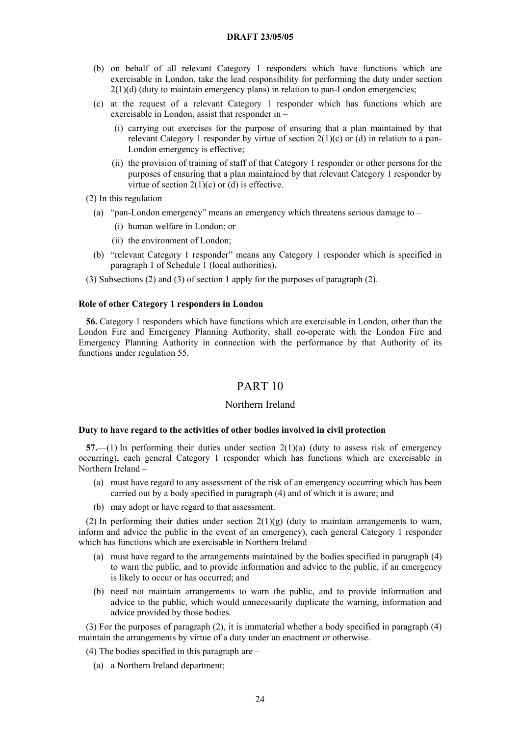- (b) on behalf of all relevant Category 1 responders which have functions which are exercisable in London, take the lead responsibility for performing the duty under section  $2(1)(d)$  (duty to maintain emergency plans) in relation to pan-London emergencies;
- (c) at the request of a relevant Category 1 responder which has functions which are exercisable in London, assist that responder in –
	- (i) carrying out exercises for the purpose of ensuring that a plan maintained by that relevant Category 1 responder by virtue of section  $2(1)(c)$  or (d) in relation to a pan-London emergency is effective;
	- (ii) the provision of training of staff of that Category 1 responder or other persons for the purposes of ensuring that a plan maintained by that relevant Category 1 responder by virtue of section  $2(1)(c)$  or (d) is effective.
- (2) In this regulation  $-$ 
	- (a) "pan-London emergency" means an emergency which threatens serious damage to
		- (i) human welfare in London; or
		- (ii) the environment of London;
	- (b) "relevant Category 1 responder" means any Category 1 responder which is specified in paragraph 1 of Schedule 1 (local authorities).
- (3) Subsections (2) and (3) of section 1 apply for the purposes of paragraph (2).

## **Role of other Category 1 responders in London**

**56.** Category 1 responders which have functions which are exercisable in London, other than the London Fire and Emergency Planning Authority, shall co-operate with the London Fire and Emergency Planning Authority in connection with the performance by that Authority of its functions under regulation 55.

# PART 10

#### Northern Ireland

#### **Duty to have regard to the activities of other bodies involved in civil protection**

**57.**—(1) In performing their duties under section 2(1)(a) (duty to assess risk of emergency occurring), each general Category 1 responder which has functions which are exercisable in Northern Ireland –

- (a) must have regard to any assessment of the risk of an emergency occurring which has been carried out by a body specified in paragraph (4) and of which it is aware; and
- (b) may adopt or have regard to that assessment.

(2) In performing their duties under section  $2(1)(g)$  (duty to maintain arrangements to warn, inform and advice the public in the event of an emergency), each general Category 1 responder which has functions which are exercisable in Northern Ireland –

- (a) must have regard to the arrangements maintained by the bodies specified in paragraph (4) to warn the public, and to provide information and advice to the public, if an emergency is likely to occur or has occurred; and
- (b) need not maintain arrangements to warn the public, and to provide information and advice to the public, which would unnecessarily duplicate the warning, information and advice provided by those bodies.

(3) For the purposes of paragraph (2), it is immaterial whether a body specified in paragraph (4) maintain the arrangements by virtue of a duty under an enactment or otherwise.

(4) The bodies specified in this paragraph are –

(a) a Northern Ireland department;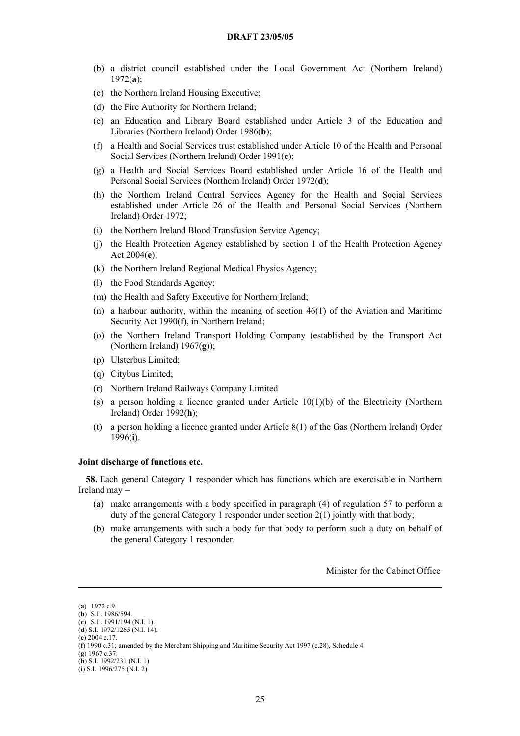- (b) a district council established under the Local Government Act (Northern Ireland) 1972(**[a](#page-24-0)**);
- (c) the Northern Ireland Housing Executive;
- (d) the Fire Authority for Northern Ireland;
- (e) an Education and Library Board established under Article 3 of the Education and Libraries (Northern Ireland) Order 1986(**[b](#page-24-1)**);
- (f) a Health and Social Services trust established under Article 10 of the Health and Personal Social Services (Northern Ireland) Order 1991(**[c](#page-24-2)**);
- (g) a Health and Social Services Board established under Article 16 of the Health and Personal Social Services (Northern Ireland) Order 1972(**[d](#page-24-3)**);
- (h) the Northern Ireland Central Services Agency for the Health and Social Services established under Article 26 of the Health and Personal Social Services (Northern Ireland) Order 1972;
- (i) the Northern Ireland Blood Transfusion Service Agency;
- (j) the Health Protection Agency established by section 1 of the Health Protection Agency Act 2004(**[e](#page-24-4)**);
- (k) the Northern Ireland Regional Medical Physics Agency;
- (l) the Food Standards Agency;
- (m) the Health and Safety Executive for Northern Ireland;
- (n) a harbour authority, within the meaning of section 46(1) of the Aviation and Maritime Security Act 1990(**[f](#page-24-5)**), in Northern Ireland;
- (o) the Northern Ireland Transport Holding Company (established by the Transport Act (Northern Ireland) 1967(**[g](#page-24-6)**));
- (p) Ulsterbus Limited;
- (q) Citybus Limited;
- (r) Northern Ireland Railways Company Limited
- (s) a person holding a licence granted under Article 10(1)(b) of the Electricity (Northern Ireland) Order 1992(**[h](#page-24-7)**);
- (t) a person holding a licence granted under Article 8(1) of the Gas (Northern Ireland) Order 1996(**i**[\)](#page-24-8).

## **Joint discharge of functions etc.**

**58.** Each general Category 1 responder which has functions which are exercisable in Northern Ireland may –

- (a) make arrangements with a body specified in paragraph (4) of regulation 57 to perform a duty of the general Category 1 responder under section 2(1) jointly with that body;
- (b) make arrangements with such a body for that body to perform such a duty on behalf of the general Category 1 responder.

Minister for the Cabinet Office

<u>.</u>

<span id="page-24-0"></span><sup>(</sup>**a**) 1972 c.9.

<span id="page-24-1"></span><sup>(</sup>**b**) S.I.. 1986/594.

<span id="page-24-2"></span><sup>(</sup>**c**) S.I.. 1991/194 (N.I. 1).

<span id="page-24-4"></span><span id="page-24-3"></span><sup>(</sup>**d**) S.I. 1972/1265 (N.I. 14). (**e**) 2004 c.17.

<span id="page-24-5"></span><sup>(</sup>**f**) 1990 c.31; amended by the Merchant Shipping and Maritime Security Act 1997 (c.28), Schedule 4.

<span id="page-24-6"></span><sup>(</sup>**g**) 1967 c.37.

<span id="page-24-7"></span><sup>(</sup>**h**) S.I. 1992/231 (N.I. 1)

<span id="page-24-8"></span><sup>(</sup>**i**) S.I. 1996/275 (N.I. 2)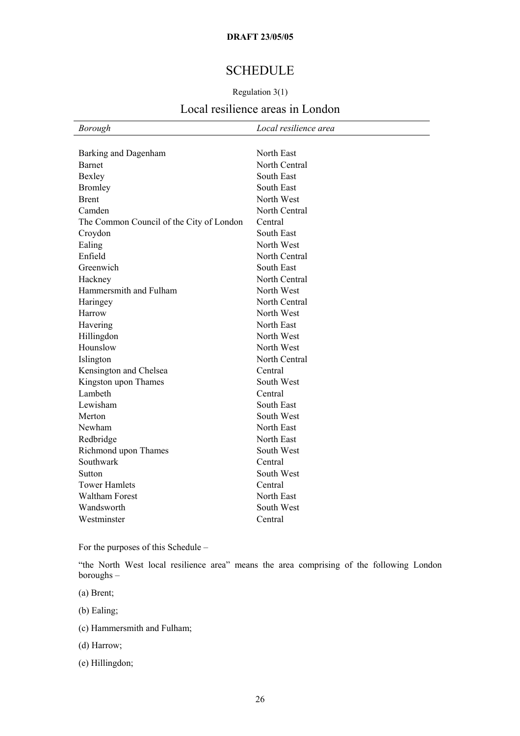# **SCHEDULE**

## Regulation 3(1)

# Local resilience areas in London

| <b>Borough</b>                           | Local resilience area |
|------------------------------------------|-----------------------|
|                                          |                       |
| Barking and Dagenham                     | North East            |
| <b>Barnet</b>                            | North Central         |
| Bexley                                   | South East            |
| <b>Bromley</b>                           | South East            |
| <b>Brent</b>                             | North West            |
| Camden                                   | North Central         |
| The Common Council of the City of London | Central               |
| Croydon                                  | South East            |
| Ealing                                   | North West            |
| Enfield                                  | North Central         |
| Greenwich                                | South East            |
| Hackney                                  | North Central         |
| Hammersmith and Fulham                   | North West            |
| Haringey                                 | North Central         |
| Harrow                                   | North West            |
| Havering                                 | North East            |
| Hillingdon                               | North West            |
| Hounslow                                 | North West            |
| Islington                                | North Central         |
| Kensington and Chelsea                   | Central               |
| Kingston upon Thames                     | South West            |
| Lambeth                                  | Central               |
| Lewisham                                 | South East            |
| Merton                                   | South West            |
| Newham                                   | North East            |
| Redbridge                                | North East            |
| Richmond upon Thames                     | South West            |
| Southwark                                | Central               |
| Sutton                                   | South West            |
| <b>Tower Hamlets</b>                     | Central               |
| <b>Waltham Forest</b>                    | North East            |
| Wandsworth                               | South West            |
| Westminster                              | Central               |
|                                          |                       |

For the purposes of this Schedule –

"the North West local resilience area" means the area comprising of the following London boroughs –

(a) Brent;

(b) Ealing;

(c) Hammersmith and Fulham;

(d) Harrow;

(e) Hillingdon;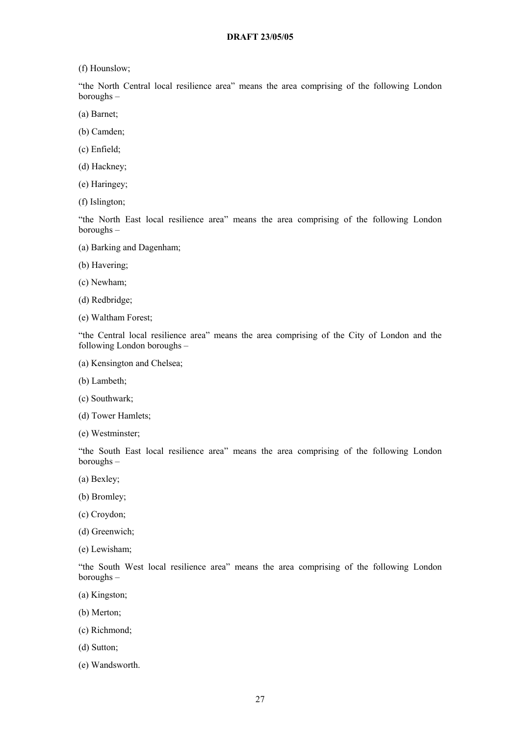(f) Hounslow;

"the North Central local resilience area" means the area comprising of the following London boroughs –

- (a) Barnet;
- (b) Camden;
- (c) Enfield;
- (d) Hackney;
- (e) Haringey;
- (f) Islington;

"the North East local resilience area" means the area comprising of the following London boroughs –

- (a) Barking and Dagenham;
- (b) Havering;
- (c) Newham;
- (d) Redbridge;
- (e) Waltham Forest;

"the Central local resilience area" means the area comprising of the City of London and the following London boroughs –

- (a) Kensington and Chelsea;
- (b) Lambeth;
- (c) Southwark;
- (d) Tower Hamlets;
- (e) Westminster;

"the South East local resilience area" means the area comprising of the following London boroughs –

- (a) Bexley;
- (b) Bromley;
- (c) Croydon;
- (d) Greenwich;
- (e) Lewisham;

"the South West local resilience area" means the area comprising of the following London boroughs –

- (a) Kingston;
- (b) Merton;
- (c) Richmond;
- (d) Sutton;
- (e) Wandsworth.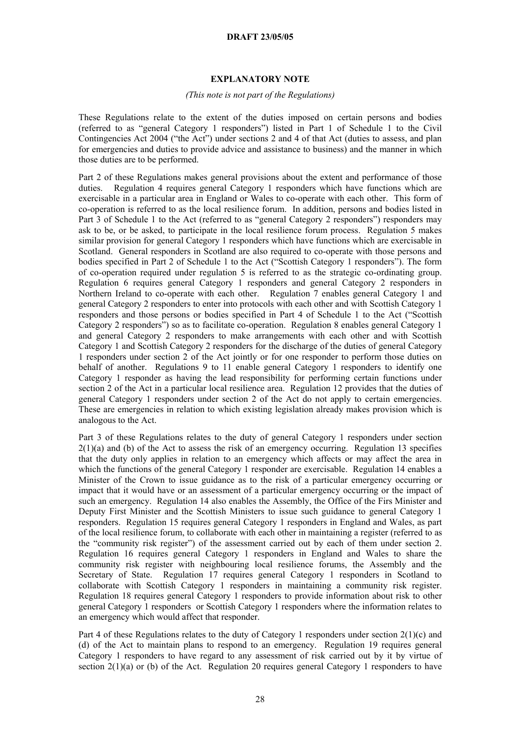## **EXPLANATORY NOTE**

### *(This note is not part of the Regulations)*

These Regulations relate to the extent of the duties imposed on certain persons and bodies (referred to as "general Category 1 responders") listed in Part 1 of Schedule 1 to the Civil Contingencies Act 2004 ("the Act") under sections 2 and 4 of that Act (duties to assess, and plan for emergencies and duties to provide advice and assistance to business) and the manner in which those duties are to be performed.

Part 2 of these Regulations makes general provisions about the extent and performance of those duties. Regulation 4 requires general Category 1 responders which have functions which are exercisable in a particular area in England or Wales to co-operate with each other. This form of co-operation is referred to as the local resilience forum. In addition, persons and bodies listed in Part 3 of Schedule 1 to the Act (referred to as "general Category 2 responders") responders may ask to be, or be asked, to participate in the local resilience forum process. Regulation 5 makes similar provision for general Category 1 responders which have functions which are exercisable in Scotland. General responders in Scotland are also required to co-operate with those persons and bodies specified in Part 2 of Schedule 1 to the Act ("Scottish Category 1 responders"). The form of co-operation required under regulation 5 is referred to as the strategic co-ordinating group. Regulation 6 requires general Category 1 responders and general Category 2 responders in Northern Ireland to co-operate with each other. Regulation 7 enables general Category 1 and general Category 2 responders to enter into protocols with each other and with Scottish Category 1 responders and those persons or bodies specified in Part 4 of Schedule 1 to the Act ("Scottish Category 2 responders") so as to facilitate co-operation. Regulation 8 enables general Category 1 and general Category 2 responders to make arrangements with each other and with Scottish Category 1 and Scottish Category 2 responders for the discharge of the duties of general Category 1 responders under section 2 of the Act jointly or for one responder to perform those duties on behalf of another. Regulations 9 to 11 enable general Category 1 responders to identify one Category 1 responder as having the lead responsibility for performing certain functions under section 2 of the Act in a particular local resilience area. Regulation 12 provides that the duties of general Category 1 responders under section 2 of the Act do not apply to certain emergencies. These are emergencies in relation to which existing legislation already makes provision which is analogous to the Act.

Part 3 of these Regulations relates to the duty of general Category 1 responders under section  $2(1)(a)$  and (b) of the Act to assess the risk of an emergency occurring. Regulation 13 specifies that the duty only applies in relation to an emergency which affects or may affect the area in which the functions of the general Category 1 responder are exercisable. Regulation 14 enables a Minister of the Crown to issue guidance as to the risk of a particular emergency occurring or impact that it would have or an assessment of a particular emergency occurring or the impact of such an emergency. Regulation 14 also enables the Assembly, the Office of the Firs Minister and Deputy First Minister and the Scottish Ministers to issue such guidance to general Category 1 responders. Regulation 15 requires general Category 1 responders in England and Wales, as part of the local resilience forum, to collaborate with each other in maintaining a register (referred to as the "community risk register") of the assessment carried out by each of them under section 2. Regulation 16 requires general Category 1 responders in England and Wales to share the community risk register with neighbouring local resilience forums, the Assembly and the Secretary of State. Regulation 17 requires general Category 1 responders in Scotland to collaborate with Scottish Category 1 responders in maintaining a community risk register. Regulation 18 requires general Category 1 responders to provide information about risk to other general Category 1 responders or Scottish Category 1 responders where the information relates to an emergency which would affect that responder.

Part 4 of these Regulations relates to the duty of Category 1 responders under section 2(1)(c) and (d) of the Act to maintain plans to respond to an emergency. Regulation 19 requires general Category 1 responders to have regard to any assessment of risk carried out by it by virtue of section 2(1)(a) or (b) of the Act. Regulation 20 requires general Category 1 responders to have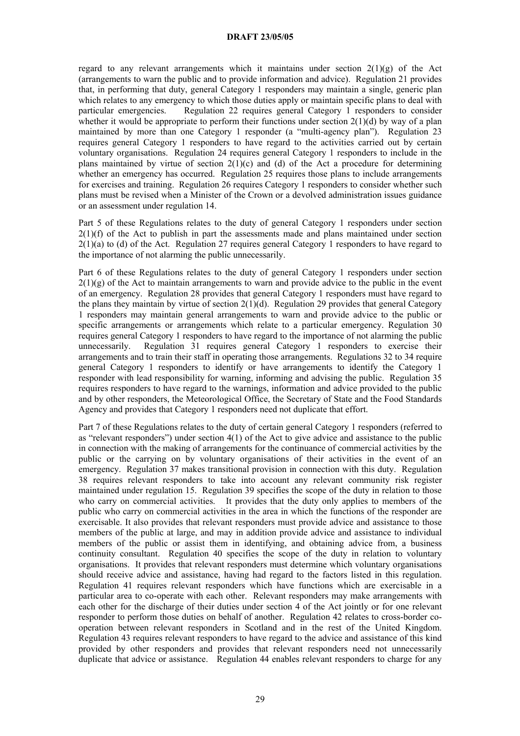regard to any relevant arrangements which it maintains under section  $2(1)(g)$  of the Act (arrangements to warn the public and to provide information and advice). Regulation 21 provides that, in performing that duty, general Category 1 responders may maintain a single, generic plan which relates to any emergency to which those duties apply or maintain specific plans to deal with particular emergencies. Regulation 22 requires general Category 1 responders to consider whether it would be appropriate to perform their functions under section  $2(1)(d)$  by way of a plan maintained by more than one Category 1 responder (a "multi-agency plan"). Regulation 23 requires general Category 1 responders to have regard to the activities carried out by certain voluntary organisations. Regulation 24 requires general Category 1 responders to include in the plans maintained by virtue of section  $2(1)(c)$  and (d) of the Act a procedure for determining whether an emergency has occurred. Regulation 25 requires those plans to include arrangements for exercises and training. Regulation 26 requires Category 1 responders to consider whether such plans must be revised when a Minister of the Crown or a devolved administration issues guidance or an assessment under regulation 14.

Part 5 of these Regulations relates to the duty of general Category 1 responders under section  $2(1)(f)$  of the Act to publish in part the assessments made and plans maintained under section  $2(1)(a)$  to (d) of the Act. Regulation 27 requires general Category 1 responders to have regard to the importance of not alarming the public unnecessarily.

Part 6 of these Regulations relates to the duty of general Category 1 responders under section  $2(1)(g)$  of the Act to maintain arrangements to warn and provide advice to the public in the event of an emergency. Regulation 28 provides that general Category 1 responders must have regard to the plans they maintain by virtue of section 2(1)(d). Regulation 29 provides that general Category 1 responders may maintain general arrangements to warn and provide advice to the public or specific arrangements or arrangements which relate to a particular emergency. Regulation 30 requires general Category 1 responders to have regard to the importance of not alarming the public unnecessarily. Regulation 31 requires general Category 1 responders to exercise their arrangements and to train their staff in operating those arrangements. Regulations 32 to 34 require general Category 1 responders to identify or have arrangements to identify the Category 1 responder with lead responsibility for warning, informing and advising the public. Regulation 35 requires responders to have regard to the warnings, information and advice provided to the public and by other responders, the Meteorological Office, the Secretary of State and the Food Standards Agency and provides that Category 1 responders need not duplicate that effort.

Part 7 of these Regulations relates to the duty of certain general Category 1 responders (referred to as "relevant responders") under section 4(1) of the Act to give advice and assistance to the public in connection with the making of arrangements for the continuance of commercial activities by the public or the carrying on by voluntary organisations of their activities in the event of an emergency. Regulation 37 makes transitional provision in connection with this duty. Regulation 38 requires relevant responders to take into account any relevant community risk register maintained under regulation 15. Regulation 39 specifies the scope of the duty in relation to those who carry on commercial activities. It provides that the duty only applies to members of the public who carry on commercial activities in the area in which the functions of the responder are exercisable. It also provides that relevant responders must provide advice and assistance to those members of the public at large, and may in addition provide advice and assistance to individual members of the public or assist them in identifying, and obtaining advice from, a business continuity consultant. Regulation 40 specifies the scope of the duty in relation to voluntary organisations. It provides that relevant responders must determine which voluntary organisations should receive advice and assistance, having had regard to the factors listed in this regulation. Regulation 41 requires relevant responders which have functions which are exercisable in a particular area to co-operate with each other. Relevant responders may make arrangements with each other for the discharge of their duties under section 4 of the Act jointly or for one relevant responder to perform those duties on behalf of another. Regulation 42 relates to cross-border cooperation between relevant responders in Scotland and in the rest of the United Kingdom. Regulation 43 requires relevant responders to have regard to the advice and assistance of this kind provided by other responders and provides that relevant responders need not unnecessarily duplicate that advice or assistance. Regulation 44 enables relevant responders to charge for any